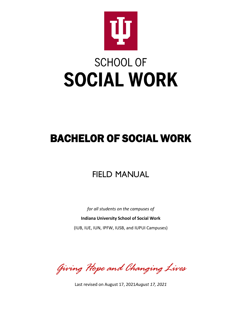

# **SCHOOL OF SOCIAL WORK**

## BACHELOR OF SOCIAL WORK

## FIELD MANUAL

*for all students on the campuses of*

**Indiana University School of Social Work**

(IUB, IUE, IUN, IPFW, IUSB, and IUPUI Campuses)

*Giving Hope and Changing Lives*

Last revised on August 17, 2021*August 17, 2021*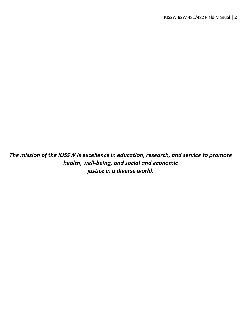*The mission of the IUSSW is excellence in education, research, and service to promote health, well-being, and social and economic justice in a diverse world.*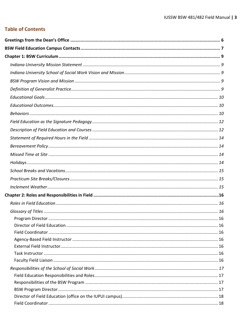## **Table of Contents**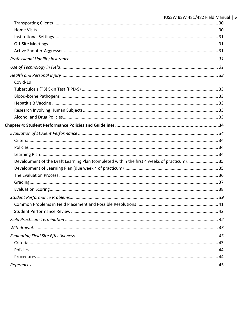| IUSSW BSW 481/482 Field Manual   5                                                         |
|--------------------------------------------------------------------------------------------|
|                                                                                            |
|                                                                                            |
|                                                                                            |
|                                                                                            |
|                                                                                            |
|                                                                                            |
|                                                                                            |
|                                                                                            |
|                                                                                            |
|                                                                                            |
|                                                                                            |
|                                                                                            |
|                                                                                            |
|                                                                                            |
|                                                                                            |
|                                                                                            |
|                                                                                            |
|                                                                                            |
| Development of the Draft Learning Plan (completed within the first 4 weeks of practicum)35 |
|                                                                                            |
|                                                                                            |
|                                                                                            |
| 38                                                                                         |
|                                                                                            |
|                                                                                            |
|                                                                                            |
|                                                                                            |
|                                                                                            |
|                                                                                            |
|                                                                                            |
|                                                                                            |
|                                                                                            |
|                                                                                            |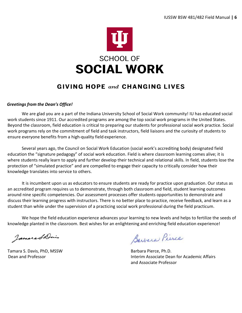

## **GIVING HOPE and CHANGING LIVES**

## <span id="page-5-0"></span>*Greetings from the Dean's Office!*

We are glad you are a part of the Indiana University School of Social Work community! IU has educated social work students since 1911. Our accredited programs are among the top social work programs in the United States. Beyond the classroom, field education is critical to preparing our students for professional social work practice. Social work programs rely on the commitment of field and task instructors, field liaisons and the curiosity of students to ensure everyone benefits from a high-quality field experience.

Several years ago, the Council on Social Work Education (social work's accrediting body) designated field education the "signature pedagogy" of social work education. Field is where classroom learning comes alive; it is where students really learn to apply and further develop their technical and relational skills. In field, students lose the protection of "simulated practice" and are compelled to engage their capacity to critically consider how their knowledge translates into service to others.

It is incumbent upon us as educators to ensure students are ready for practice upon graduation. Our status as an accredited program requires us to demonstrate, through both classroom and field, student learning outcomes around nine specific competencies. Our assessment processes offer students opportunities to demonstrate and discuss their learning progress with instructors. There is no better place to practice, receive feedback, and learn as a student than while under the supervision of a practicing social work professional during the field practicum.

We hope the field education experience advances your learning to new levels and helps to fertilize the seeds of knowledge planted in the classroom. Best wishes for an enlightening and enriching field education experience!

JameraShis

Tamara S. Davis, PhD, MSSW Barbara Pierce, Ph.D.

Barbara Pierce

Dean and Professor Interim Associate Dean for Academic Affairs and Associate Professor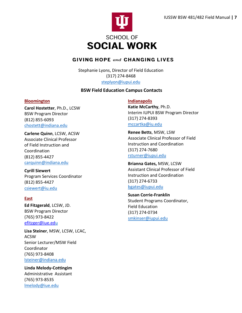

## **GIVING HOPE and CHANGING LIVES**

Stephanie Lyons, Director of Field Education (317) 274-8468 [steplyon@iupui.edu](mailto:steplyon@iupui.edu)

## **BSW Field Education Campus Contacts**

## <span id="page-6-0"></span>**Bloomington**

**Carol Hostetter**, Ph.D., LCSW BSW Program Director (812) 855-6093 [chostett@indiana.edu](mailto:karealle@indiana.edu)

**Carlene Quinn**, LCSW, ACSW Associate Clinical Professor of Field Instruction and Coordination (812) 855-4427 [carquinn@indiana.edu](mailto:carquinn@indiana.edu)

**Cyrill Siewert** Program Services Coordinator (812) 855-4427 [csiewert@iu.edu](mailto:tramhugh@indiana.edu)

## **East**

**Ed Fitzgerald**, LCSW, JD. BSW Program Director (765) 973-8422 [efitzger@iue.edu](mailto:efitzger@iue.ed)

**Lisa Steiner**, MSW, LCSW, LCAC, ACSW Senior Lecturer/MSW Field Coordinator (765) 973-8408 [lsteiner@indiana.edu](mailto:lsteiner@indiana.edu)

**Linda Melody-Cottingim** Administrative Assistant (765) 973-8535 [lmelody@iue.edu](mailto:lmelody@iue.edu)

**Indianapolis**

**Katie McCarthy**, Ph.D. Interim IUPUI BSW Program Director (317) 274-8393 mccartka@iu.edu

**Renee Betts**, MSW, LSW Associate Clinical Professor of Field Instruction and Coordination (317) 274-7680 [rsturner@iupui.edu](mailto:rsturner@iupui.edu)

**Brianna Gates,** MSW, LCSW Assistant Clinical Professor of Field Instruction and Coordination (317) 274-6733 bgates@iupui.edu

**Susan Corrie-Franklin** Student Programs Coordinator, Field Education (317) 274-0734 [smkinser@iupui.edu](mailto:smkinser@iupui.edu)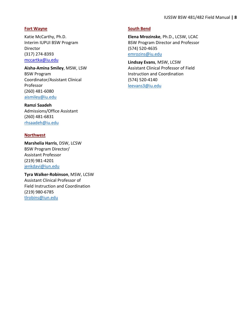#### **Fort Wayne**

Katie McCarthy, Ph.D. Interim IUPUI BSW Program Director (317) 274-8393 [mccartka@iu.edu](mailto:jthigpen@iupui.edu)

**Aisha-Amina Smiley**, MSW, LSW BSW Program Coordinator/Assistant Clinical Professor (260) 481-6080 [aismiley@iu.edu](mailto:aismiley@iu.edu)

**Ramzi Saadeh** Admissions/Office Assistant (260) 481-6831 [rhsaadeh@iu.edu](mailto:aismiley@iu.edu)

#### **Northwest**

**Marshelia Harris**, DSW, LCSW BSW Program Director/ Assistant Professor (219) 981-4201 [jenkdavi@iun.edu](mailto:jenkdavi@iun.edu)

**Tyra Walker-Robinson**, MSW, LCSW Assistant Clinical Professor of Field Instruction and Coordination (219) 980-6785 [tlrobins@iun.edu](mailto:tlrobins@iun.edu)

## **South Bend**

**Elena Mrozinske**, Ph.D., LCSW, LCAC BSW Program Director and Professor (574) 520-4635 [emrozins@iu.edu](mailto:jenkdavi@iun.edu)

**Lindsay Evans**, MSW, LCSW Assistant Clinical Professor of Field Instruction and Coordination (574) 520-4140 [leevans3@iu.edu](mailto:leevans3@iu.edu)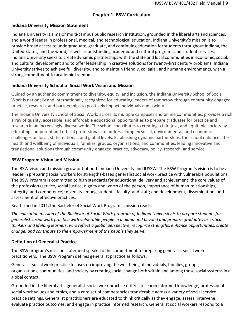## **Chapter 1: BSW Curriculum**

## <span id="page-8-1"></span><span id="page-8-0"></span>**Indiana University Mission Statement**

Indiana University is a major multi-campus public research institution, grounded in the liberal arts and sciences, and a world leader in professional, medical, and technological education. Indiana University's mission is to provide broad accessto undergraduate, graduate, and continuing education forstudentsthroughout Indiana, the United States, and the world, as well as outstanding academic and cultural programs and student services. Indiana University seeksto create dynamic partnerships with the state and local communities in economic, social, and cultural development and to offer leadership in creative solutions for twenty-first century problems. Indiana University strives to achieve full diversity, and to maintain friendly, collegial, and humane environments, with a strong commitment to academic freedom.

## <span id="page-8-2"></span>**Indiana University School of Social Work Vision and Mission**

Guided by an authentic commitment to diversity, equity, and inclusion, the Indiana University School of Social Work is nationally and internationally recognized for educating leaders of tomorrow through community-engaged practice, research, and partnerships to positively impact individuals and society.

The Indiana University School of Social Work, across its multiple campuses and online communities, provides a rich array of quality, accessible, and affordable educational opportunities to prepare graduates for practice and research in an increasingly diverse world. The school contributes to creating a fair, just, and equitable society by educating competent and ethical professionals to address complex social, environmental, and economic challenges on local, state, national, and global levels. Establishing dynamic partnerships, the school enhances the health and wellbeing of individuals, families, groups, organizations, and communities, leading innovative and translational solutions through community-engaged practice, advocacy, policy, research, and service.

## <span id="page-8-3"></span>**BSW Program Vision and Mission**

The BSW vision and mission grow out of both Indiana University and IUSSW. The BSW Program's vision is to be a leader in preparing social workers for strengths-based generalist social work practice with vulnerable populations. The BSW Program is committed to high standards for educational delivery and achievement; the core values of the profession (service, social justice, dignity and worth of the person, importance of human relationships, integrity, and competence); diversity among students, faculty, and staff; and development, dissemination, and assessment of effective practices.

Reaffirmed in 2011, the Bachelor of Social Work Program's mission reads:

*The education mission of the Bachelor of Social Work program of Indiana University is to prepare students for generalist social work practice with vulnerable people in Indiana and beyond and prepare graduates as critical thinkers and lifelong learners, who reflect a global perspective, recognize strengths, enhance opportunities, create change, and contribute to the empowerment of the people they serve.*

## <span id="page-8-4"></span>**Definition of Generalist Practice**

The BSW program's mission statement speaks to the commitment to preparing generalist social work practitioners. The BSW Program defines generalist practice as follows:

Generalist social work practice focuses on improving the well-being of individuals, families, groups, organizations, communities, and society by creating social change both within and among these social systems in a global context.

Grounded in the liberal arts, generalist social work practice utilizes research informed knowledge, professional social work values and ethics, and a core set of competencies transferable across a variety of social service practice settings. Generalist practitioners are educated to think critically as they engage, assess, intervene, evaluate practice outcomes, and engage in practice informed research. Generalist social workers respond to a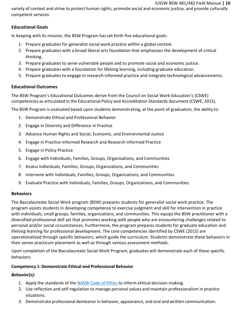#### IUSSW BSW 481/482 Field Manual **| 10**

variety of context and strive to protect human rights, promote social and economic justice, and provide culturally competent services.

## <span id="page-9-0"></span>**Educational Goals**

In keeping with its mission, the BSW Program has set forth five educational goals:

- 1. Prepare graduates for generalist social work practice within a global context.
- 2. Prepare graduates with a broad liberal arts foundation that emphasizes the development of critical thinking.
- 3. Prepare graduates to serve vulnerable people and to promote social and economic justice.
- 4. Prepare graduates with a foundation for lifelong learning, including graduate education.
- 5. Prepare graduates to engage in research-informed practice and integrate technological advancements.

## <span id="page-9-1"></span>**Educational Outcomes**

The BSW Program's Educational Outcomes derive from the Council on Social Work Education's (CSWE) competencies as articulated in the Educational Policy and Accreditation Standards document (CSWE, 2015).

The BSW Program is evaluated based upon students demonstrating, at the point of graduation, the ability to:

- 1. Demonstrate Ethical and Professional Behavior
- 2. Engage in Diversity and Difference in Practice
- 3. Advance Human Rights and Social, Economic, and Environmental Justice
- 4. Engage in Practice-informed Research and Research-informed Practice
- 5. Engage in Policy Practice
- 6. Engage with Individuals, Families, Groups, Organizations, and Communities
- 7. Assess Individuals, Families, Groups, Organizations, and Communities
- 8. Intervene with Individuals, Families, Groups, Organizations, and Communities
- 9. Evaluate Practice with Individuals, Families, Groups, Organizations, and Communities

## <span id="page-9-2"></span>**Behaviors**

The Baccalaureate Social Work program (BSW) prepares students for generalist social work practice. The program assists students in developing competence to exercise judgment and skill for intervention in practice with individuals, small groups, families, organizations, and communities. This equips the BSW practitioner with a diversified professional skill set that promotes working with people who are encountering challenges related to personal and/or social circumstances. Furthermore, the program prepares students for graduate education and lifelong learning for professional development. The core competencies identified by CSWE (2015) are operationalized through specific behaviors, which guide the curriculum. Students demonstrate these behaviors in their senior practicum placement as well as through various assessment methods.

Upon completion of the Baccalaureate Social Work Program, graduates will demonstrate each of these specific behaviors:

## **Competency 1: Demonstrate Ethical and Professional Behavior**

## *Behavior(s):*

- 1. Apply the standards of the [NASW](https://www.socialworkers.org/About/Ethics/Code-of-Ethics/Code-of-Ethics-English) Code of Ethics to inform ethical decision-making.
- 2. Use reflection and self-regulation to manage personal values and maintain professionalism in practice situations.
- 3. Demonstrate professional demeanor in behavior, appearance, and oral and written communication.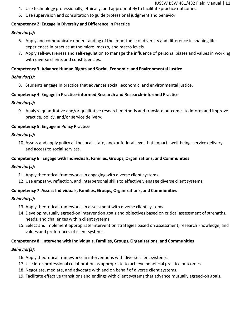- 4. Use technology professionally, ethically, and appropriately to facilitate practice outcomes.
- 5. Use supervision and consultation to guide professional judgment and behavior.

## **Competency 2: Engage in Diversity and Difference in Practice**

## *Behavior(s):*

- 6. Apply and communicate understanding of the importance of diversity and difference in shaping life experiences in practice at the micro, mezzo, and macro levels.
- 7. Apply self-awareness and self-regulation to manage the influence of personal biases and values in working with diverse clients and constituencies.

## **Competency 3: Advance Human Rights and Social, Economic, and Environmental Justice**

## *Behavior(s):*

8. Students engage in practice that advances social, economic, and environmental justice.

## **Competency 4: Engage in Practice-informed Research and Research-informed Practice**

## *Behavior(s):*

9. Analyze quantitative and/or qualitative research methods and translate outcomes to inform and improve practice, policy, and/or service delivery.

## **Competency 5: Engage in Policy Practice**

## *Behavior(s):*

10. Assess and apply policy at the local, state, and/or federal level that impacts well-being, service delivery, and access to social services.

## **Competency 6: Engage with Individuals, Families, Groups, Organizations, and Communities**

#### *Behavior(s):*

- 11. Apply theoretical frameworks in engaging with diverse client systems.
- 12. Use empathy, reflection, and interpersonal skills to effectively engage diverse client systems.

## **Competency 7: AssessIndividuals, Families, Groups, Organizations, and Communities**

## *Behavior(s):*

- 13. Apply theoretical frameworks in assessment with diverse client systems.
- 14. Develop mutually agreed-on intervention goals and objectives based on critical assessment of strengths, needs, and challenges within client systems.
- 15. Select and implement appropriate intervention strategies based on assessment, research knowledge, and values and preferences of client systems.

## **Competency 8: Intervene with Individuals, Families, Groups, Organizations, and Communities**

## *Behavior(s):*

- 16. Apply theoretical frameworks in interventions with diverse client systems.
- 17. Use inter-professional collaboration as appropriate to achieve beneficial practice outcomes.
- 18. Negotiate, mediate, and advocate with and on behalf of diverse client systems.
- 19. Facilitate effective transitions and endings with client systems that advance mutually agreed-on goals.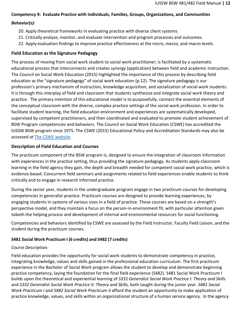## **Competency 9: Evaluate Practice with Individuals, Families, Groups, Organizations, and Communities**

## *Behavior(s):*

- 20. Apply theoretical frameworks in evaluating practice with diverse client systems.
- 21. Critically analyze, monitor, and evaluate intervention and program processes and outcomes.
- 22. Apply evaluation findings to improve practice effectiveness at the micro, mezzo, and macro levels.

## <span id="page-11-0"></span>**Field Education as the Signature Pedagogy**

The process of moving from social work student to social work practitioner; is facilitated by a systematic educational process that interconnects and creates synergy (application) between field and academic instruction. The Council on Social Work Education (2015) highlighted the importance of this process by describing field education as the "signature pedagogy" of social work education (p.12). The signature pedagogy is our profession's primary mechanism of instruction, knowledge acquisition, and socialization of social work students. It is through this interplay of field and classroom that students synthesize and integrate social work theory and practice. The primary intention of this educational model is to purposefully, connect the essential elements of the conceptual classroom with the diverse, complex practice settings of the social work profession. In order to facilitate student learning, the field education environment and experiences are systematically developed, supervised by competent practitioners, and then coordinated and evaluated to promote student achievement of BSW Program competencies and behaviors. The Council on Social Work Education (CSWE) has accredited the IUSSW BSW program since 1975. The CSWE (2015) Educational Policy and Accreditation Standards may also be accessed at The CSWE [website.](https://www.cswe.org/Advocacy-Policy/Policy-Agenda)

## <span id="page-11-1"></span>**Description of Field Education and Courses**

The practicum component of the BSW program is, designed to ensure the integration of classroom information with experiences in the practice setting, thus providing the signature pedagogy. As students apply classroom learning in the field agency they gain, the depth and breadth needed for competent social work practice, which is evidence-based. Concurrent field seminars and assignments related to field experiences enable students to think critically and to engage in research informed practice.

During the senior year, students in the undergraduate program engage in two practicum courses for developing competencies in generalist practice. Practicum courses are designed to provide learning experiences, by engaging students in systems of various sizes in a field of practice. These courses are based on a strength's perspective model, and they maintain a focus on the person-in-environment fit, with particular attention given toboth the helping process and development of internal and environmental resources for social functioning.

Competencies and behaviors identified by CSWE are assessed by the Field Instructor, Faculty Field Liaison, and the student during the practicum courses.

## **S481 Social Work Practicum I (6 credits) and S482 (7 credits)**

## *Course Description:*

Field education provides the opportunity for social work students to demonstrate competency in practice, integrating knowledge, values and skills gained in the professional education curriculum. The first practicum experience in the Bachelor of Social Work program allows the student to develop and demonstrate beginning practice competency, laying the foundation for the final field experience (S482). S481 Social Work Practicum I builds upon the theoretical and experiential learning of *S331 Generalist Social Work Practice I: Theory and Skills* and *S332 Generalist Social Work Practice II: Theory and Skills,* both taught during the junior year. *S481 Social Work Practicum I* and *S482 Social Work Practicum II* afford the student an opportunity to make application of practice knowledge, values, and skills within an organizational structure of a human service agency. In the agency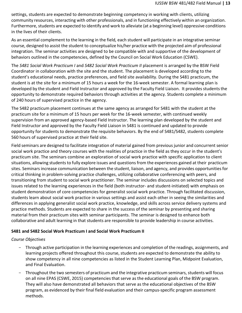settings, students are expected to demonstrate beginning competency in working with clients, utilizing community resources, interacting with other professionals, and in functioning effectively within an organization. Furthermore, students are expected to identify and work to alleviate (at a beginning level) oppressive conditions in the lives of their clients.

As an essential complement to the learning in the field*,* each student will participate in an integrative seminar course, designed to assist the student to conceptualize his/her practice with the projected aim of professional integration. The seminar activities are designed to be compatible with and supportive of the development of behaviors outlined in the competencies, defined by the Council on Social Work Education (CSWE).

The *S481 Social Work Practicum I* and *S482 Social Work Practicum II* placement is arranged by the BSW Field Coordinator in collaboration with the site and the student. The placement is developed according to the student's educational needs, practice preferences, and field site availability. During the S481 practicum, the student is at the site for a minimum of 15 hours a week for the 16-week semester. A formal learning plan is developed by the student and Field Instructor and approved by the Faculty Field Liaison. It provides students the opportunity to demonstrate required behaviors through activities at the agency. Students complete a minimum of 240 hours of supervised practice in the agency.

The S482 practicum placement continues at the same agency as arranged for S481 with the student at the practicum site for a minimum of 15 hours per week for the 16-week semester, with continued weekly supervision from an approved agency-based Field Instructor. The learning plan developed by the student and Field Instructor and approved by the Faculty Field Liaison in S481 is continued and updated to provide opportunity for students to demonstrate the requisite behaviors. By the end of S481/S482, students complete 560 hours of supervised practice at their field site.

Field seminars are designed to facilitate integration of material gained from previous junior and concurrent senior social work practice and theory courses with the realities of practice in the field as they occur in the student's practicum site. The seminars combine an exploration of social work practice with specific application to client situations, allowing students to fully explore issues and questions from the experiences gained at their practicum sites. Seminars increase communication between the student, liaison, and agency, and provides opportunities for critical thinking in problem-solving practice challenges, utilizing collaborative conferencing with peers, and transitioning from student to social work practitioner. The seminar includes discussions on selected topics and issues related to the learning experiences in the field (both instructor- and student-initiated) with emphasis on student demonstration of core competencies for generalist social work practice. Through facilitated discussion, students learn about social work practice in various settings and assist each other in seeing the similarities and differences in applying generalist social work practice, knowledge, and skills across service delivery systems and practice methods. Students are expected to share in the success of the seminar by presenting and sharing material from their practicum sites with seminar participants. The seminar is designed to enhance both collaborative and adult learning in that students are responsible to provide leadership in course activities.

## **S481 and S482 Social Work Practicum I and Social Work Practicum II**

#### *Course Objectives*

- Through active participation in the learning experiences and completion of the readings, assignments, and learning projects offered throughout this course, students are expected to demonstrate the ability to show competency in all nine competencies as listed in the Student Learning Plan, Midpoint Evaluation, and Final Evaluation.
- Throughout the two semesters of practicum and the integrative practicum seminars, students will focus on all nine EPAS (CSWE, 2015) competencies that serve as the educational goals of the BSW program. They will also have demonstrated all behaviors that serve as the educational objectives of the BSW program, as evidenced by their final field evaluation and their campus-specific program assessment methods.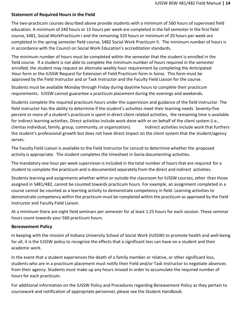## <span id="page-13-0"></span>**Statement of Required Hours in the Field**

The two-practicum courses described above provide students with a minimum of 560 hours of supervised field education. A minimum of 240 hours or 15 hours per week are completed in the fall semester in the first field course, S481, Social WorkPracticum I and the remaining 320 hours or minimum of 20 hours per week are completed in the spring semester field course, S482 Social Work Practicum II. The minimum number of hours is in accordance with the Council on Social Work Education's accreditation standards.

The minimum number of hours must be completed within the semester that the student is enrolled in the field course. If a student is not able to complete the minimum number of hours required in the semester enrolled, the student may request an alternate weekly hour requirement by completing the Anticipated Hour form or the IUSSW Request for Extension of Field Practicum form in Sonia. This form must be approved by the Field Instructor and or Task Instructor and the Faculty Field Liaison for the course.

Students must be available Monday through Friday during daytime hours to complete their practicum requirements. IUSSW cannot guarantee a practicum placement during the evenings and weekends.

Students complete the required practicum hours under the supervision and guidance of the field instructor. The field instructor has the ability to determine if the student's activities meet their learning needs. Seventy-five percent or more of a student's practicum is spent in direct client related activities, the remaining time is available for indirect learning activities. Direct activities include work done with or on behalf of the client system (i.e., clientas individual, family, group, community, or organization). Indirect activities include work that furthers the student's professional growth but does not have direct impact on the client system that the student/agency serves.

The Faculty Field Liaison is available to the Field Instructor for consult to determine whether the proposed activity is appropriate. The student completes the timesheet in Sonia documenting activities.

The mandatory one hour per week supervision is included in the total number of hours that are required for a student to complete the practicum and is documented separately from the direct and indirect activities.

Students learning and assignments whether within or outside the classroom for IUSSW courses, other than those assigned in S481/482, cannot be counted towards practicum hours. For example, an assignment completed in a course cannot be counted as a learning activity to demonstrate competency in field. Learning activities to demonstrate competency within the practicum must be completed within the practicum as approved by the Field Instructor and Faculty Field Liaison.

At a minimum there are eight field seminars per semester for at least 1.25 hours for each session. These seminar hours count towards your 560 practicum hours.

## <span id="page-13-1"></span>**Bereavement Policy**

In keeping with the mission of Indiana University School of Social Work (IUSSW) to promote health and well-being for all, it is the IUSSW policy to recognize the effects that a significant loss can have on a student and their academic work.

In the event that a student experiences the death of a family member or relative, or other significant loss, students who are in a practicum placement must notify their Field and/or Task Instructor to negotiate absences from their agency. Students must make up any hours missed in order to accumulate the required number of hours for each practicum.

For additional information on the IUSSW Policy and Procedures regarding Bereavement Policy as they pertain to coursework and notification of appropriate personnel, please see the Student Handbook.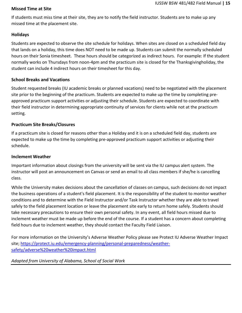## <span id="page-14-0"></span>**Missed Time at Site**

If students must miss time at their site, they are to notify the field instructor. Students are to make up any missed time at the placement site.

## <span id="page-14-1"></span>**Holidays**

Students are expected to observe the site schedule for holidays. When sites are closed on a scheduled field day that lands on a holiday, this time does NOT need to be made up. Students can submit the normally scheduled hours on their Sonia timesheet. These hours should be categorized as indirect hours. For example: If the student normally works on Thursdays from noon-4pm and the practicum site is closed for the Thanksgivingholiday, the student can include 4 indirect hours on their timesheet for this day.

## <span id="page-14-2"></span>**School Breaks and Vacations**

Student requested breaks (IU academic breaks or planned vacations) need to be negotiated with the placement site prior to the beginning of the practicum. Students are expected to make up the time by completing preapproved practicum support activities or adjusting their schedule. Students are expected to coordinate with their field instructor in determining appropriate continuity of services for clients while not at the practicum setting.

## <span id="page-14-3"></span>**Practicum Site Breaks/Closures**

If a practicum site is closed for reasons other than a Holiday and it is on a scheduled field day, students are expected to make up the time by completing pre-approved practicum support activities or adjusting their schedule.

#### <span id="page-14-4"></span>**Inclement Weather**

Important information about closings from the university will be sent via the IU campus alert system. The instructor will post an announcement on Canvas or send an email to all class members if she/he is cancelling class.

While the University makes decisions about the cancellation of classes on campus, such decisions do not impact the business operations of a student's field placement. It is the responsibility of the student to monitor weather conditions and to determine with the Field Instructor and/or Task Instructor whether they are able to travel safely to the field placement location or leave the placement site early to return home safely. Students should take necessary precautions to ensure their own personal safety. In any event, all field hours missed due to inclement weather must be made up before the end of the course. If a student has a concern about completing field hours due to inclement weather, they should contact the Faculty Field Liaison.

For more information on the University's Adverse Weather Policy please see Protect IU Adverse Weather Impact site; [https://protect.iu.edu/emergency-planning/personal-preparedness/weather](https://protect.iu.edu/emergency-planning/personal-preparedness/weather-safety/adverse%20weather%20impact.html)[safety/adverse%20weather%20impact.html](https://protect.iu.edu/emergency-planning/personal-preparedness/weather-safety/adverse%20weather%20impact.html)

## *Adapted from University of Alabama, School of Social Work*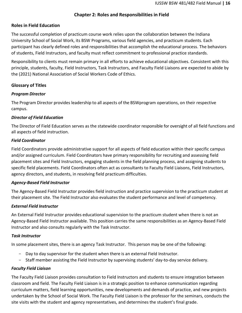## **Chapter 2: Roles and Responsibilities in Field**

## <span id="page-15-1"></span><span id="page-15-0"></span>**Roles in Field Education**

The successful completion of practicum course work relies upon the collaboration between the Indiana University School of Social Work, its BSW Programs, various field agencies, and practicum students. Each participant has clearly defined roles and responsibilities that accomplish the educational process. The behaviors of students, Field Instructors, and faculty must reflect commitment to professional practice standards.

Responsibility to clients must remain primary in all efforts to achieve educational objectives. Consistent with this principle, students, faculty, Field Instructors, Task Instructors, and Faculty Field Liaisons are expected to abide by the (2021) National Association of Social Workers Code of Ethics.

## <span id="page-15-2"></span>**Glossary of Titles**

## <span id="page-15-3"></span>*Program Director*

The Program Director provides leadership to all aspects of the BSWprogram operations, on their respective campus.

## <span id="page-15-4"></span>*Director of Field Education*

The Director of Field Education serves as the statewide coordinator responsible for oversight of all field functions and all aspects of field instruction.

## <span id="page-15-5"></span>*Field Coordinator*

Field Coordinators provide administrative support for all aspects of field education within their specific campus and/or assigned curriculum. Field Coordinators have primary responsibility for recruiting and assessing field placement sites and Field Instructors, engaging students in the field planning process, and assigning students to specific field placements. Field Coordinators often act as consultants to Faculty Field Liaisons, Field Instructors, agency directors, and students, in resolving field practicum difficulties.

## <span id="page-15-6"></span>*Agency-Based Field Instructor*

The Agency-Based Field Instructor provides field instruction and practice supervision to the practicum student at their placement site. The Field Instructor also evaluates the student performance and level of competency.

## <span id="page-15-7"></span>*External Field Instructor*

An External Field Instructor provides educational supervision to the practicum student when there is not an Agency-Based Field Instructor available. This position carries the same responsibilities as an Agency-Based Field Instructor and also consults regularly with the Task Instructor.

#### <span id="page-15-8"></span>*Task Instructor*

In some placement sites, there is an agency Task Instructor. This person may be one of the following:

- Day to day supervisor for the student when there is an external Field Instructor.
- Staff member assisting the Field Instructor by supervising students' day-to-day service delivery.

## <span id="page-15-9"></span>*Faculty Field Liaison*

The Faculty Field Liaison provides consultation to Field Instructors and students to ensure integration between classroom and field. The Faculty Field Liaison is in a strategic position to enhance communication regarding curriculum matters, field learning opportunities, new developments and demands of practice, and new projects undertaken by the School of Social Work. The Faculty Field Liaison is the professor for the seminars, conducts the site visits with the student and agency representatives, and determines the student's final grade.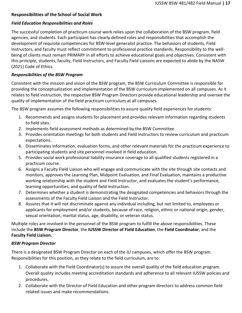## <span id="page-16-0"></span>**Responsibilities of the School of Social Work**

#### <span id="page-16-1"></span>*Field Education Responsibilities and Roles*

The successful completion of practicum course work relies upon the collaboration of the BSW program, field agencies, and students. Each participant has clearly defined roles and responsibilities that accomplish the development of requisite competencies for BSW-level generalist practice. The behaviors of students, Field Instructors, and faculty must reflect commitment to professional practice standards. Responsibility to the wellbeing of clients must remain PRIMARY in all efforts to achieve educational goals and objectives. Consistent with this principle, students, faculty, Field Instructors, and Faculty Field Liaisons are expected to abide by the NASW (2021) Code of Ethics.

## <span id="page-16-2"></span>*Responsibilities of the BSW Program*

Consistent with the mission and vision of the BSW program, the BSW Curriculum Committee is responsible for providing the conceptualization and implementation of the BSW curriculum implemented on all campuses. As it relates to field instruction, the respective BSW Program Directors provide educational leadership and oversee the quality of implementation of the field practicum curriculum at all campuses.

The BSW program assumes the following responsibilities to assure quality field experiences for students:

- 1. Recommends and assigns students for placement and provides relevant information regarding students to field sites.
- 2. Implements field assessment methods as determined by the BSW Committee.
- 3. Provides orientation meetings for both students and Field Instructors to review curriculum and practicum expectations.
- 4. Disseminates information, evaluation forms, and other relevant materials for the practicum experience to participating students and site personnel involved in field education.
- 5. Provides social work professional liability insurance coverage to all qualified students registered in a practicum course.
- 6. Assigns a Faculty Field Liaison who will engage and communicate with the site through site contacts and monitors, approves the Learning Plan, Midpoint Evaluation, and Final Evaluation, maintains a productive working relationship with the student and Field Instructor, and evaluates the student's performance, learning opportunities, and quality of field instruction.
- 7. Determines whether a student is demonstrating the designated competencies and behaviors through the assessments of the Faculty Field Liaison and the Field Instructor.
- 8. Assures that it will not discriminate against any individual including, but not limited to, employees or applicants for employment and/or students, because of race, religion, ethnic or national origin, gender, sexual orientation, marital status, age, disability, or veteran status.

Multiple roles are involved in the personnel of the BSW program to fulfill the above responsibilities. These include the **BSW Program Director**, the **IUSSW Director of Field Education**, the **Field Coordinator**, and the **Faculty Field Liaison.**

#### <span id="page-16-3"></span>*BSW Program Director*

There is a designated BSW Program Director on each of the IU campuses, which offer the BSW program. Responsibilities for this position, as they relate to the field curriculum, are to:

- 1. Collaborate with the Field Coordinator(s) to assure the overall quality of the field education program. Overall quality includes meeting accreditation standards and adherence to all relevant IUSSW policies and procedures.
- 2. Collaborate with the Director of Field Education and other program directors to address common field related issues and make recommendations.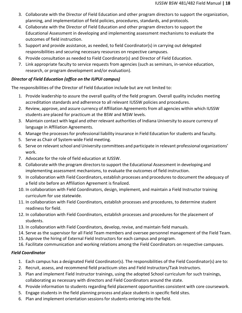- 3. Collaborate with the Director of Field Education and other program directors to support the organization, planning, and implementation of field policies, procedures, standards, and protocols.
- 4. Collaborate with the Director of Field Education and other program directors to support the Educational Assessment in developing and implementing assessment mechanisms to evaluate the outcomes of field instruction.
- 5. Support and provide assistance, as needed, to field Coordinator(s) in carrying out delegated responsibilities and securing necessary resources on respective campuses.
- 6. Provide consultation as needed to Field Coordinator(s) and Director of Field Education.
- 7. Link appropriate faculty to service requests from agencies (such as seminars, in-service education, research, or program development and/or evaluation).

## <span id="page-17-0"></span>*Director of Field Education (office on the IUPUI campus)*

The responsibilities of the Director of Field Education include but are not limited to:

- 1. Provide leadership to assure the overall quality of the field program. Overall quality includes meeting accreditation standards and adherence to all relevant IUSSW policies and procedures.
- 2. Review, approve, and assure currency of Affiliation Agreements from all agencies within which IUSSW students are placed for practicum at the BSW and MSW levels.
- 3. Maintain contact with legal and other relevant authorities of Indiana University to assure currency of language in Affiliation Agreements.
- 4. Manage the processesfor professional liability insurance in Field Education for students and faculty.
- 5. Serve as Chair of System-wide Field meeting.
- 6. Serve on relevant school and University committees and participate in relevant professional organizations' work.
- 7. Advocate for the role of field education at IUSSW.
- 8. Collaborate with the program directors to support the Educational Assessment in developing and implementing assessment mechanisms, to evaluate the outcomes of field instruction.
- 9. In collaboration with Field Coordinators, establish processes and procedures to document the adequacy of a field site before an Affiliation Agreement is finalized.
- 10. In collaboration with Field Coordinators, design, implement, and maintain a Field Instructor training curriculum for use statewide.
- 11. In collaboration with Field Coordinators, establish processes and procedures, to determine student readiness for field.
- 12. In collaboration with Field Coordinators, establish processes and procedures for the placement of students.
- 13. In collaboration with Field Coordinators, develop, revise, and maintain field manuals.
- 14. Serve as the supervisor for all Field Team members and oversee personnel management of the Field Team.
- 15. Approve the hiring of External Field Instructors for each campus and program.
- 16. Facilitate communication and working relations among the Field Coordinators on respective campuses.

## <span id="page-17-1"></span>*Field Coordinator*

- 1. Each campus has a designated Field Coordinator(s). The responsibilities of the Field Coordinator(s) are to:
- 2. Recruit, assess, and recommend field practicum sites and Field Instructors/Task Instructors.
- 3. Plan and implement Field Instructor trainings, using the adopted School curriculum for such trainings, collaborating as necessary with directors and Field Coordinators around the state.
- 4. Provide information to students regarding field placement opportunities consistent with core coursework.
- 5. Engage students in the field planning process and place students in specific field sites.
- 6. Plan and implement orientation sessions for students entering into the field.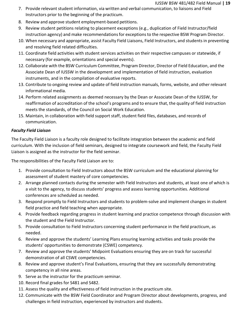#### IUSSW BSW 481/482 Field Manual **| 19**

- 7. Provide relevant student information, via written and verbal communication, to liaisons and Field Instructors prior to the beginning of the practicum.
- 8. Review and approve student employment-based petitions.
- 9. Review student petitions relating to placement exceptions (e.g., duplication of Field Instructor/field instruction agency) and make recommendations for exceptions to the respective BSW Program Director.
- 10. When necessary and appropriate, assist Faculty Field Liaisons, Field Instructors, and students in preventing and resolving field related difficulties.
- 11. Coordinate field activities with student services activities on their respective campuses or statewide, if necessary (for example, orientations and special events).
- 12. Collaborate with the BSW Curriculum Committee, Program Director, Director of Field Education, and the Associate Dean of IUSSW in the development and implementation of field instruction, evaluation instruments, and in the compilation of evaluative reports.
- 13. Contribute to ongoing review and update of field instruction manuals, forms, website, and other relevant informational media.
- 14. Perform related assignments as deemed necessary by the Dean or Associate Dean of the IUSSW, for reaffirmation of accreditation of the school's programs and to ensure that, the quality of field instruction meets the standards, of the Council on Social Work Education.
- 15. Maintain, in collaboration with field support staff, student field files, databases, and records of communication.

## <span id="page-18-0"></span>*Faculty Field Liaison*

The Faculty Field Liaison is a faculty role designed to facilitate integration between the academic and field curriculum. With the inclusion of field seminars, designed to integrate coursework and field, the Faculty Field Liaison is assigned as the instructor for the field seminar.

The responsibilities of the Faculty Field Liaison are to:

- 1. Provide consultation to Field Instructors about the BSW curriculum and the educational planning for assessment of student mastery of core competencies.
- 2. Arrange planned contacts during the semester with Field Instructors and students, at least one of which is a visit to the agency, to discuss students' progress and assess learning opportunities. Additional conferences are scheduled as needed.
- 3. Respond promptly to Field Instructors and students to problem-solve and implement changes in student field practice and field teaching when appropriate.
- 4. Provide feedback regarding progress in student learning and practice competence through discussion with the student and the Field Instructor.
- 5. Provide consultation to Field Instructors concerning student performance in the field practicum, as needed.
- 6. Review and approve the students' Learning Plans ensuring learning activities and tasks provide the students' opportunities to demonstrate (CSWE) competency.
- 7. Review and approve the students' Midpoint Evaluations ensuring they are on track for successful demonstration of all CSWE competencies.
- 8. Review and approve student's Final Evaluations, ensuring that they are successfully demonstrating competency in all nine areas.
- 9. Serve as the instructor for the practicum seminar.
- 10. Record final grades for S481 and S482.
- 11. Assess the quality and effectiveness of field instruction in the practicum site.
- 12. Communicate with the BSW Field Coordinator and Program Director about developments, progress, and challenges in field instruction, experienced by instructors and students.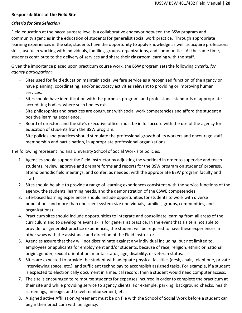## <span id="page-19-0"></span>**Responsibilities of the Field Site**

## <span id="page-19-1"></span>*Criteria for Site Selection*

Field education at the baccalaureate level is a collaborative endeavor between the BSW program and community agencies in the education of students for generalist social work practice. Through appropriate learning experiences in the site, students have the opportunity to apply knowledge as well as acquire professional skills, useful in working with individuals, families, groups, organizations, and communities. At the same time, students contribute to the delivery of services and share their classroom learning with the staff.

Given the importance placed upon practicum course work, the BSW program sets the following *criteria, for agency participation*:

- Sites used for field education maintain social welfare service as a recognized function of the agency or have planning, coordinating, and/or advocacy activities relevant to providing or improving human services.
- Sites should have identification with the purpose, program, and professional standards of appropriate accrediting bodies, where such bodies exist.
- Site philosophies and practices are congruent with social work competencies and afford the student a positive learning experience.
- Board of directors and the site's executive officer must be in full accord with the use of the agency for education of students from the BSW program.
- Site policies and practices should stimulate the professional growth of its workers and encourage staff membership and participation, in appropriate professional organizations.

The following represent Indiana University School of Social Work site policies:

- 1. Agencies should support the Field Instructor by adjusting the workload in order to supervise and teach students, review, approve and prepare forms and reports for the BSW program on students' progress, attend periodic field meetings, and confer, as needed, with the appropriate BSW program faculty and staff.
- 2. Sites should be able to provide a range of learning experiences consistent with the service functions of the agency, the students' learning needs, and the demonstration of the CSWE competencies.
- 3. Site-based learning experiences should include opportunities for students to work with diverse populations and more than one client system size (individuals, families, groups, communities, and organizations).
- 4. Practicum sites should include opportunities to integrate and consolidate learning from all areas of the curriculum and to develop relevant skills for generalist practice. In the event that a site is not able to provide full generalist practice experiences, the student will be required to have these experiences in other ways with the assistance and direction of the Field Instructor.
- 5. Agencies assure that they will not discriminate against any individual including, but not limited to, employees or applicants for employment and/or students, because of race, religion, ethnic or national origin, gender, sexual orientation, marital status, age, disability, or veteran status.
- 6. Sites are expected to provide the student with adequate physical facilities (desk, chair, telephone, private interviewing space, etc.), and sufficient technology to accomplish assigned tasks. For example, if a student is expected to electronically document in a medical record, then a student would need computer access.
- 7. The site is encouraged to reimburse students for expenses incurred in order to complete the practicum at their site and while providing service to agency clients. For example, parking, background checks, health screenings, mileage, and travel reimbursement, etc.
- 8. A signed active Affiliation Agreement must be on file with the School of Social Work before a student can begin their practicum with an agency.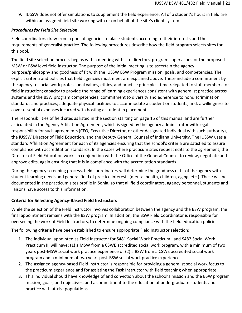9. IUSSW does not offer simulations to supplement the field experience. All of a student's hours in field are within an assigned field site working with or on behalf of the site's client system.

## <span id="page-20-0"></span>*Procedures for Field Site Selection*

Field coordinators draw from a pool of agencies to place students according to their interests and the requirements of generalist practice. The following procedures describe how the field program selects sites for this pool.

The field site selection process begins with a meeting with site directors, program supervisors, or the proposed MSW or BSW level field instructor. The purpose of the initial meeting is to ascertain the agency purpose/philosophy and goodness of fit with the IUSSW BSW Program mission, goals, and competencies. The explicit criteria and policies that field agencies must meet are explained above. These include a commitment by the agency to social work professional values, ethics, and practice principles; time relegated to staff members for field instruction; capacity to provide the range of learning experiences consistent with generalist practice across systems and the BSW program competencies; commitment to diversity and adherence to nondiscrimination standards and practices; adequate physical facilities to accommodate a student or students; and, a willingness to cover essential expenses incurred with hosting a student in placement.

The responsibilities of field sites as listed in the section starting on page 15 of this manual and are further articulated in the Agency Affiliation Agreement, which is signed by the agency administrator with legal responsibility for such agreements (CEO, Executive Director, or other designated individual with such authority), the IUSSW Director of Field Education, and the Deputy General Counsel of Indiana University. The IUSSW uses a standard Affiliation Agreement for each of its agencies ensuring that the school's criteria are satisfied to assure compliance with accreditation standards. In the cases where practicum sites request edits to the agreement, the Director of Field Education works in conjunction with the Office of the General Counsel to review, negotiate and approve edits, again ensuring that it is in compliance with the accreditation standards.

During the agency screening process, field coordinators will determine the goodness of fit of the agency with student learning needs and general field of practice interests (mental health, children, aging, etc.). These will be documented in the practicum sites profile in Sonia, so that all field coordinators, agency personnel, students and liaisons have access to this information.

## <span id="page-20-1"></span>**Criteria for Selecting Agency-Based Field Instructors**

While the selection of the Field Instructor involves collaboration between the agency and the BSW program, the final appointment remains with the BSW program. In addition, the BSW Field Coordinator is responsible for overseeing the work of Field Instructors, to determine ongoing compliance with the field education policies.

The following criteria have been established to ensure appropriate Field Instructor selection:

- 1. The individual appointed as Field Instructor for S481 Social Work Practicum I and S482 Social Work Practicum II, will have: (1) a MSW from a CSWE accredited social work program, with a minimum of two years post-MSW social work practice experience or (2) a BSW from a CSWE accredited social work program and a minimum of two years post-BSW social work practice experience.
- 2. The assigned agency-based Field Instructor is responsible for providing a generalist social work focus to the practicum experience and for assisting the Task Instructor with field teaching when appropriate.
- 3. This individual should have knowledge of and conviction about the school's mission and the BSW program mission, goals, and objectives, and a commitment to the education of undergraduate students and practice with at-risk populations.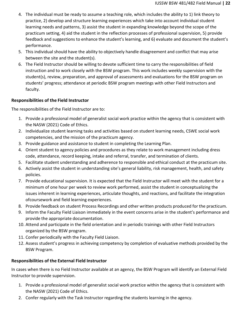- 4. The individual must be ready to assume a teaching role, which includes the ability to 1) link theory to practice, 2) develop and structure learning experiences which take into account individual student learning needs and patterns, 3) assist the student in expanding knowledge beyond the scope of the practicum setting, 4) aid the student in the reflection processes of professional supervision, 5) provide feedback and suggestions to enhance the student's learning, and 6) evaluate and document the student's performance.
- 5. This individual should have the ability to objectively handle disagreement and conflict that may arise between the site and the student(s).
- 6. The Field Instructor should be willing to devote sufficient time to carry the responsibilities of field instruction and to work closely with the BSW program. This work includes weekly supervision with the student(s), review, preparation, and approval of assessments and evaluations for the BSW program on students' progress; attendance at periodic BSW program meetings with other Field Instructors and faculty.

## <span id="page-21-0"></span>**Responsibilities of the Field Instructor**

The responsibilities of the Field Instructor are to:

- 1. Provide a professional model of generalist social work practice within the agency that is consistent with the NASW (2021) Code of Ethics.
- 2. Individualize student learning tasks and activities based on student learning needs, CSWE social work competencies, and the mission of the practicum agency.
- 3. Provide guidance and assistance to student in completing the Learning Plan.
- 4. Orient student to agency policies and procedures as they relate to work management including dress code, attendance, record keeping, intake and referral, transfer, and termination of clients.
- 5. Facilitate student understanding and adherence to responsible and ethical conduct at the practicum site.
- 6. Actively assist the student in understanding site's general liability, risk management, health, and safety policies.
- 7. Provide educational supervision. It is expected that the Field Instructor will meet with the student for a minimum of one hour per week to review work performed, assist the student in conceptualizing the issues inherent in learning experiences, articulate thoughts, and reactions, and facilitate the integration ofcoursework and field learning experiences.
- 8. Provide feedback on student Process Recordings and other written products produced for the practicum.
- 9. Inform the Faculty Field Liaison immediately in the event concerns arise in the student's performance and provide the appropriate documentation.
- 10. Attend and participate in the field orientation and in periodic trainings with other Field Instructors organized by the BSW program.
- 11. Confer periodically with the Faculty Field Liaison.
- 12. Assess student's progress in achieving competency by completion of evaluative methods provided by the BSW Program.

## <span id="page-21-1"></span>**Responsibilities of the External Field Instructor**

In cases when there is no Field Instructor available at an agency, the BSW Program will identify an External Field Instructor to provide supervision.

- 1. Provide a professional model of generalist social work practice within the agency that is consistent with the NASW (2021) Code of Ethics.
- 2. Confer regularly with the Task Instructor regarding the students learning in the agency.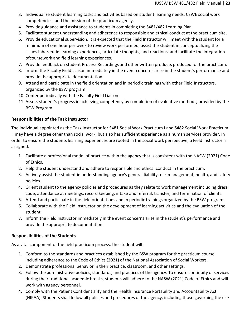- 3. Individualize student learning tasks and activities based on student learning needs, CSWE social work competencies, and the mission of the practicum agency.
- 4. Provide guidance and assistance to students in completing the S481/482 Learning Plan.
- 5. Facilitate student understanding and adherence to responsible and ethical conduct at the practicum site.
- 6. Provide educational supervision. It is expected that the Field Instructor will meet with the student for a minimum of one hour per week to review work performed, assist the student in conceptualizing the issues inherent in learning experiences, articulate thoughts, and reactions, and facilitate the integration ofcoursework and field learning experiences.
- 7. Provide feedback on student Process Recordings and other written products produced for the practicum.
- 8. Inform the Faculty Field Liaison immediately in the event concerns arise in the student's performance and provide the appropriate documentation.
- 9. Attend and participate in the field orientation and in periodic trainings with other Field Instructors, organized by the BSW program.
- 10. Confer periodically with the Faculty Field Liaison.
- 11. Assess student's progress in achieving competency by completion of evaluative methods, provided by the BSW Program.

## <span id="page-22-0"></span>**Responsibilities of the Task Instructor**

The individual appointed as the Task Instructor for S481 Social Work Practicum I and S482 Social Work Practicum II may have a degree other than social work, but also has sufficient experience as a human services provider. In order to ensure the students learning experiences are rooted in the social work perspective, a Field Instructor is assigned.

- 1. Facilitate a professional model of practice within the agency that is consistent with the NASW (2021) Code of Ethics.
- 2. Help the student understand and adhere to responsible and ethical conduct in the practicum.
- 3. Actively assist the student in understanding agency's general liability, risk management, health, and safety policies.
- 4. Orient student to the agency policies and procedures as they relate to work management including dress code, attendance at meetings, record keeping, intake and referral, transfer, and termination of clients.
- 5. Attend and participate in the field orientations and in periodic trainings organized by the BSW program.
- 6. Collaborate with the Field Instructor on the development of learning activities and the evaluation of the student.
- 7. Inform the Field Instructor immediately in the event concerns arise in the student's performance and provide the appropriate documentation.

## <span id="page-22-1"></span>**Responsibilities of the Students**

As a vital component of the field practicum process, the student will:

- 1. Conform to the standards and practices established by the BSW program for the practicum course including adherence to the Code of Ethics (2021) of the National Association of Social Workers.
- 2. Demonstrate professional behavior in their practice, classroom, and other settings.
- 3. Follow the administrative policies, standards, and practices of the agency. To ensure continuity of services during their traditional academic breaks, students will adhere to the NASW (2021) Code of Ethics and will work with agency personnel.
- 4. Comply with the Patient Confidentiality and the Health Insurance Portability and Accountability Act (HIPAA). Students shall follow all policies and procedures of the agency, including those governing the use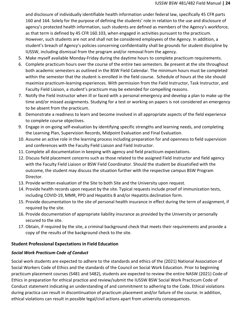and disclosure of individually identifiable health information under federal law, specifically 45 CFR parts 160 and 164. Solely for the purpose of defining the students' role in relation to the use and disclosure of agency's protected health information, such students are defined as members of the Agency's workforce, as that term is defined by 45 CFR 160.103, when engaged in activities pursuant to the practicum. However, such students are not and shall not be considered employees of the Agency. In addition, a student's breach of Agency's policies concerning confidentiality shall be grounds for student discipline by IUSSW, including dismissal from the program and/or removal from the agency.

- 5. Make myself available Monday-Friday during the daytime hours to complete practicum requirements.
- 6. Complete practicum hours over the course of the entire two semesters. Be present at the site throughout both academic semesters as outlined in the BSW Field Calendar. The minimum hours must be completed within the semester that the student is enrolled in the field course. Schedule of hours at the site should maximize practicum-learning experiences. With permission from the Field Instructor, Task Instructor, and Faculty Field Liaison, a student's practicum may be extended for compelling reasons.
- 7. Notify the Field Instructor when ill or faced with a personal emergency and develop a plan to make up the time and/or missed assignments. Studying for a test or working on papers is not considered an emergency to be absent from the practicum.
- 8. Demonstrate a readiness to learn and become involved in all appropriate aspects of the field experience to complete course objectives.
- 9. Engage in on-going self-evaluation by identifying specific strengths and learning needs, and completing the Learning Plan, Supervision Records, Midpoint Evaluation and Final Evaluation.
- 10. Assume an active role in the learning process including preparation for and openness to field supervision and conferences with the Faculty Field Liaison and Field Instructor.
- 11. Complete all documentation in keeping with agency and field practicum expectations.
- 12. Discuss field placement concerns such as those related to the assigned Field Instructor and field agency with the Faculty Field Liaison or BSW Field Coordinator. Should the student be dissatisfied with the outcome, the student may discuss the situation further with the respective campus BSW Program Director.
- 13. Provide written evaluation of the Site to both Site and the University upon request.
- 14. Provide health records upon request by the site. Typical requests include proof of immunization tests, including COVID-19, MMR, PPD and Hepatitis B and/or Hepatitis declination form.
- 15. Provide documentation to the site of personal health insurance in effect during the term of assignment, if required by the site.
- 16. Provide documentation of appropriate liability insurance as provided by the University or personally secured to the site.
- 17. Obtain, if required by the site, a criminal background check that meets their requirements and provide a copy of the results of the background check to the site.

## <span id="page-23-0"></span>**Student Professional Expectations in Field Education**

## <span id="page-23-1"></span>*Social Work Practicum Code of Conduct*

Social work students are expected to adhere to the standards and ethics of the (2021) National Association of Social Workers Code of Ethics and the standards of the Council on Social Work Education. Prior to beginning practicum placement courses (S481 and S482), students are expected to review the entire NASW (2021) Code of Ethics in preparation for ethical practice and review/submit the IUSSW BSW Social Work Practicum Code of Conduct statement indicating an understanding of and commitment to adhering to the Code. Ethical violations during practica can result in discontinuation of practicum placement and/or failure of the course. In addition, ethical violations can result in possible legal/civil actions apart from university consequences.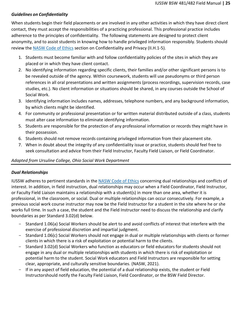## <span id="page-24-0"></span>*Guidelines on Confidentiality*

When students begin their field placements or are involved in any other activities in which they have direct client contact, they must accept the responsibilities of a practicing professional. This professional practice includes adherence to the principles of confidentiality. The following statements are designed to protect client anonymity, and to assist students in knowing how to handle privileged information responsibly. Students should review the **[NASW Code](https://www.socialworkers.org/About/Ethics/Code-of-Ethics/Code-of-Ethics-English) of Ethics** section on Confidentiality and Privacy (II.H.1-5).

- 1. Students must become familiar with and follow confidentiality policies of the sites in which they are placed or in which they have client contact.
- 2. No identifying information regarding specific clients, their families and/or other significant persons is to be revealed outside of the agency. Within coursework, students will use pseudonyms or third person references in all oral presentations and written assignments (process recordings, supervision records, case studies, etc.). No client information or situations should be shared, in any courses outside the School of Social Work.
- 3. Identifying information includes names, addresses, telephone numbers, and any background information, by which clients might be identified.
- 4. For community or professional presentation or for written material distributed outside of a class, students must alter case information to eliminate identifying information.
- 5. Students are responsible for the protection of any professional information or records they might have in their possession.
- 6. Students should not remove records containing privileged information from their placement site.
- 7. When in doubt about the integrity of any confidentiality issue or practice, students should feel free to seek consultation and advice from their Field Instructor, Faculty Field Liaison, or Field Coordinator.

## *Adapted from Ursuline College, Ohio Social Work Department*

## <span id="page-24-1"></span>*Dual Relationships*

IUSSW adheres to pertinent standards in the [NASW Code of Ethics](https://www.socialworkers.org/About/Ethics/Code-of-Ethics/Code-of-Ethics-English) concerning dual relationships and conflicts of interest. In addition, in field instruction, dual relationships may occur when a Field Coordinator, Field Instructor, or Faculty Field Liaison maintains a relationship with a student(s) in more than one area, whether it is professional, in the classroom, or social. Dual or multiple relationships can occur consecutively. For example, a previous social work course instructor may now be the Field Instructor for a student in the site where he or she works full time. In such a case, the student and the Field Instructor need to discuss the relationship and clarify boundaries as per Standard 3.02(d) below.

- Standard 1.06(a) Social Workers should be alert to and avoid conflicts of interest that interfere with the exercise of professional discretion and impartial judgment.
- Standard 1.06(c) Social Workers should not engage in dual or multiple relationships with clients or former clients in which there is a risk of exploitation or potential harm to the clients.
- Standard 3.02(d) Social Workers who function as educators or field educators for students should not engage in any dual or multiple relationships with students in which there is risk of exploitation or potential harm to the student. Social Work educators and Field Instructors are responsible for setting clear, appropriate, and culturally sensitive boundaries. (NASW, 2021).
- If in any aspect of field education, the potential of a dual relationship exists, the student or Field Instructorshould notify the Faculty Field Liaison, Field Coordinator, or the BSW Field Director.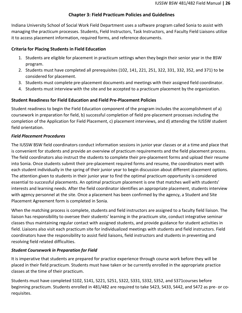## **Chapter 3: Field Practicum Policies and Guidelines**

<span id="page-25-0"></span>Indiana University School of Social Work Field Department uses a software program called Sonia to assist with managing the practicum processes. Students, Field Instructors, Task Instructors, and Faculty Field Liaisons utilize it to access placement information, required forms, and reference documents.

## <span id="page-25-1"></span>**Criteria for Placing Students in Field Education**

- 1. Students are eligible for placement in practicum settings when they begin their senior year in the BSW program.
- 2. Students must have completed all prerequisites (102, 141, 221, 251, 322, 331, 332, 352, and 371) to be considered for placement.
- 3. Students must complete pre-placement documents and meetings with their assigned field coordinator.
- 4. Students must interview with the site and be accepted to a practicum placement by the organization.

## <span id="page-25-2"></span>**Student Readiness for Field Education and Field Pre-Placement Policies**

Student readiness to begin the Field Education component of the program includes the accomplishment of a) coursework in preparation for field, b) successful completion of field pre-placement processes including the completion of the Application for Field Placement, c) placement interviews, and d) attending the IUSSW student field orientation.

## <span id="page-25-3"></span>*Field Placement Procedures*

The IUSSW BSW field coordinators conduct information sessions in junior year classes or at a time and place that is convenient for students and provide an overview of practicum requirements and the field placement process. The field coordinators also instruct the students to complete their pre-placement forms and upload their resume into Sonia. Once students submit their pre-placement required forms and resume, the coordinators meet with each student individually in the spring of their junior year to begin discussion about different placement options. The attention given to students in their junior year to find the optimal practicum opportunity is considered essential to successful placements. An optimal practicum placement is one that matches well with students' interests and learning needs. After the field coordinator identifies an appropriate placement, students interview with agency personnel at the site. Once a placement has been confirmed by the agency, a Student and Site Placement Agreement form is completed in Sonia.

When the matching process is complete, students and field instructors are assigned to a faculty field liaison. The liaison has responsibility to oversee their students' learning in the practicum site, conduct integrative seminar classes thus maintaining regular contact with assigned students, and provide guidance for student activities in field. Liaisons also visit each practicum site for individualized meetings with students and field instructors. Field coordinators have the responsibility to assist field liaisons, field instructors and students in preventing and resolving field related difficulties.

## <span id="page-25-4"></span>*Student Coursework in Preparation for Field*

It is imperative that students are prepared for practice experience through course work before they will be placed in their field practicum. Students must have taken or be currently enrolled in the appropriate practice classes at the time of their practicum.

Students must have completed S102, S141, S221, S251, S322, S331, S332, S352, and S371courses before beginning practicum. Students enrolled in 481/482 are required to take S423, S433, S442, and S472 as pre- or corequisites.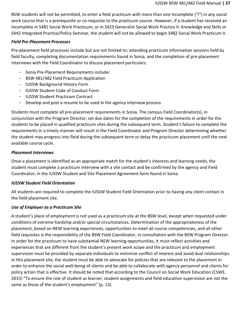BSW students will not be permitted, to enter a field practicum with more than one Incomplete ("I") in any social work course that is a prerequisite or co-requisite to the practicum course. However, if a student has received an Incomplete in S481 Social Work Practicum, or in S423 Generalist Social Work Practice II: Knowledge and Skills or S442 Integrated Practice/Policy Seminar, the student will not be allowed to begin S482 Social Work Practicum II.

## <span id="page-26-0"></span>*Field Pre-Placement Processes*

Pre-placement field processes include but are not limited to; attending practicum information sessions held by field faculty, completing documentation requirements found in Sonia, and the completion of pre-placement interviews with the Field Coordinator to discuss placement particulars.

- Sonia Pre-Placement Requirements include:
- BSW 481/482 Field Practicum Application
- IUSSW Background History Form
- IUSSW Student Code of Conduct Form
- IUSSW Student Practicum Contract
- Develop and post a resume to be used in the agency interview process

Students must complete all pre-placement requirements in Sonia. The campus Field Coordinator(s), in conjunction with the Program Director, set due dates for the completion of the requirements in order for the students to be placed in qualified practicum sites during the subsequent term. Student's failure to complete the requirements in a timely manner will result in the Field Coordinator and Program Director determining whether the student may progress into field during the subsequent term or delay the practicum placement until the next available course cycle.

## <span id="page-26-1"></span>*Placement Interviews*

Once a placement is identified as an appropriate match for the student's interests and learning needs, the student must complete a practicum interview with a site contact and be confirmed by the agency and Field Coordinator, in the IUSSW Student and Site Placement Agreement form found in Sonia.

## <span id="page-26-2"></span>*IUSSW Student Field Orientation*

All students are required to complete the IUSSW Student Field Orientation prior to having any client contact in the field placement site.

## <span id="page-26-3"></span>*Use of Employer as a Practicum Site*

A student's place of employment is not used as a practicum site at the BSW level, except when requested under conditions of extreme hardship and/or special circumstances. Determination of the appropriateness of the placement, based on NEW learning experiences, opportunities to meet all course competencies, and all other field requisites is the responsibility of the BSW Field Coordinator, in consultation with the BSW Program Director. In order for the practicum to have substantial NEW learning opportunities, it must reflect activities and experiences that are different from the student's present work scope and the practicum and employment supervision must be provided by separate individuals to minimize conflict of interest and avoid dual relationships. In this placement site, the student must be able to advocate for policies that are relevant to the placement in order to enhance the social well-being of clients and be able to collaborate with agency personnel and clients for policy action that is effective. It should be noted that according to the Council on Social Work Education (CSWE, 2015) "To ensure the role of student as learner, student assignments and field education supervision are not the same as those of the student's employment" (p. 13).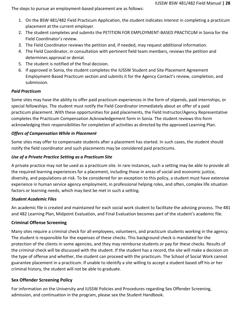The steps to pursue an employment-based placement are as follows:

- 1. On the BSW 481/482 Field Practicum Application, the student indicates interest in completing a practicum placement at the current employer.
- 2. The student completes and submits the PETITION FOR EMPLOYMENT-BASED PRACTICUM in Sonia for the Field Coordinator's review.
- 3. The Field Coordinator reviews the petition and, if needed, may request additional information.
- 4. The Field Coordinator, in consultation with pertinent field team members, reviews the petition and determines approval or denial.
- 5. The student is notified of the final decision.
- 6. If approved in Sonia, the student completes the IUSSW Student and Site Placement Agreement Employment-Based Practicum section and submits it for the Agency Contact's review, completion, and submission.

## <span id="page-27-0"></span>*Paid Practicum*

Some sites may have the ability to offer paid practicum experiences in the form of stipends, paid internships, or special fellowships. The student must notify the Field Coordinator immediately about an offer of a paid practicum placement. With these opportunities for paid placements, the Field Instructor/Agency Representative completes the Practicum Compensation Acknowledgement form in Sonia. The student reviews this form acknowledging their responsibilities for completion of activities as directed by the approved Learning Plan.

## <span id="page-27-1"></span>*Offers of Compensation While in Placement*

Some sites may offer to compensate students after a placement has started. In such cases, the student should notify the field coordinator and such placements may be considered paid practicums.

## <span id="page-27-2"></span>*Use of a Private Practice Setting as a Practicum Site*

A private practice may not be used as a practicum site. In rare instances, such a setting may be able to provide all the required learning experiences for a placement, including those in areas of social and economic justice, diversity, and populations-at-risk. To be considered for an exception to this policy, a student must have extensive experience in human service agency employment, in professional helping roles, and often, complex life situation factors or learning needs, which may best be met in such a setting.

## <span id="page-27-3"></span>*Student Academic Files*

An academic file is created and maintained for each social work student to facilitate the advising process. The 481 and 482 Learning Plan, Midpoint Evaluation, and Final Evaluation becomes part of the student's academic file.

## <span id="page-27-4"></span>**Criminal Offense Screening**

Many sites require a criminal check for all employees, volunteers, and practicum students working in the agency. The student is responsible for the expenses of these checks. This background check is mandated for the protection of the clients in some agencies, and they may reimburse students or pay for these checks. Results of the criminal check will be discussed with the student. If the student has a record, the site will make a decision on the type of offense and whether, the student can proceed with the practicum. The School of Social Work cannot guarantee placement in a practicum. If unable to identify a site willing to accept a student based off his or her criminal history, the student will not be able to graduate.

## <span id="page-27-5"></span>**Sex Offender Screening Policy**

For information on the University and IUSSW Policies and Procedures regarding Sex Offender Screening, admission, and continuation in the program, please see the Student Handbook.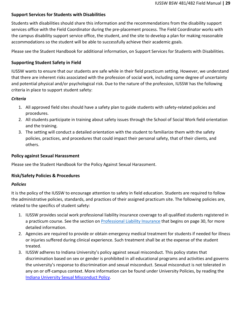## <span id="page-28-0"></span>**Support Services for Students with Disabilities**

Students with disabilities should share this information and the recommendations from the disability support services office with the Field Coordinator during the pre-placement process. The Field Coordinator works with the campus disability support service office, the student, and the site to develop a plan for making reasonable accommodations so the student will be able to successfully achieve their academic goals.

Please see the Student Handbook for additional information, on Support Services for Students with Disabilities.

## <span id="page-28-1"></span>**Supporting Student Safety in Field**

IUSSW wants to ensure that our students are safe while in their field practicum setting. However, we understand that there are inherent risks associated with the profession of social work, including some degree of uncertainty and potential physical and/or psychological risk. Due to the nature of the profession, IUSSW has the following criteria in place to support student safety:

## <span id="page-28-2"></span>*Criteria*

- 1. All approved field sites should have a safety plan to guide students with safety-related policies and procedures.
- 2. All students participate in training about safety issues through the School of Social Work field orientation and the training.
- 3. The setting will conduct a detailed orientation with the student to familiarize them with the safety policies, practices, and procedures that could impact their personal safety, that of their clients, and others.

## <span id="page-28-3"></span>**Policy against Sexual Harassment**

Please see the Student Handbook for the Policy Against Sexual Harassment.

## <span id="page-28-4"></span>**Risk/Safety Policies & Procedures**

## <span id="page-28-5"></span>*Policies*

It is the policy of the IUSSW to encourage attention to safety in field education. Students are required to follow the administrative policies, standards, and practices of their assigned practicum site. The following policies are, related to the specifics of student safety:

- 1. IUSSW provides social work professional liability insurance coverage to all qualified students registered in a practicum course. See the section on [Professional Liability Insurance](#page-30-3) that begins on page 30, for more detailed information.
- 2. Agencies are required to provide or obtain emergency medical treatment for students if needed for illness or injuries suffered during clinical experience. Such treatment shall be at the expense of the student treated.
- 3. IUSSW adheres to Indiana University's policy against sexual misconduct. This policy states that discrimination based on sex or gender is prohibited in all educational programs and activities and governs the university's response to discrimination and sexual misconduct. Sexual misconduct is not tolerated in any on or off-campus context. More information can be found under University Policies, by reading the Indiana [University Sexual](https://policies.iu.edu/policies/ua-03-sexual-misconduct/index.html) Misconduct Policy.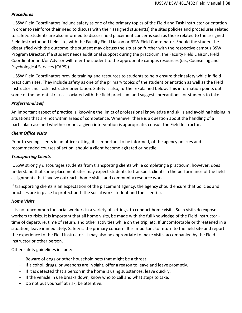## <span id="page-29-0"></span>*Procedures*

IUSSW Field Coordinators include safety as one of the primary topics of the Field and Task Instructor orientation in order to reinforce their need to discuss with their assigned student(s) the sites policies and procedures related to safety. Students are also informed to discuss field placement concerns such as those related to the assigned Field Instructor and field site, with the Faculty Field Liaison or BSW Field Coordinator. Should the student be dissatisfied with the outcome, the student may discuss the situation further with the respective campus BSW Program Director. If a student needs additional support during the practicum, the Faculty Field Liaison, Field Coordinator and/or Advisor will refer the student to the appropriate campus resources (i.e., Counseling and Psychological Services (CAPS)).

IUSSW Field Coordinators provide training and resources to students to help ensure their safety while in field practicum sites. They include safety as one of the primary topics of the student orientation as well as the Field Instructor and Task Instructor orientation. Safety is also, further explained below. This information points out some of the potential risks associated with the field practicum and suggests precautions for students to take.

## <span id="page-29-1"></span>*Professional Self*

An important aspect of practice is, knowing the limits of professional knowledge and skills and avoiding helping in situations that are not within areas of competence. Whenever there is a question about the handling of a particular case and whether or not a given intervention is appropriate, consult the Field Instructor.

## <span id="page-29-2"></span>*Client Office Visits*

Prior to seeing clients in an office setting, it is important to be informed, of the agency policies and recommended courses of action, should a client become agitated or hostile.

## <span id="page-29-3"></span>*Transporting Clients*

IUSSW strongly discourages students from transporting clients while completing a practicum, however, does understand that some placement sites may expect students to transport clients in the performance of the field assignments that involve outreach, home visits, and community resource work.

If transporting clients is an expectation of the placement agency, the agency should ensure that policies and practices are in place to protect both the social work student and the client(s).

## <span id="page-29-4"></span>*Home Visits*

It is not uncommon for social workers in a variety of settings, to conduct home visits. Such visits do expose workers to risks. It is important that all home visits, be made with the full knowledge of the Field Instructor time of departure, time of return, and other activities while on the trip, etc. If uncomfortable or threatened in a situation, leave immediately. Safety is the primary concern. It is important to return to the field site and report the experience to the Field Instructor. It may also be appropriate to make visits, accompanied by the Field Instructor or other person.

Other safety guidelines include:

- Beware of dogs or other household pets that might be a threat.
- If alcohol, drugs, or weapons are in sight, offer a reason to leave and leave promptly.
- If it is detected that a person in the home is using substances, leave quickly.
- If the vehicle in use breaks down, know who to call and what steps to take.
- Do not put yourself at risk; be attentive.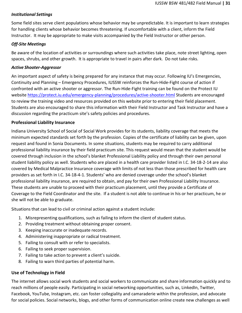## <span id="page-30-0"></span>*Institutional Settings*

Some field sites serve client populations whose behavior may be unpredictable. It is important to learn strategies for handling clients whose behavior becomes threatening. If uncomfortable with a client, inform the Field Instructor. It may be appropriate to make visits accompanied by the Field Instructor or other person.

## <span id="page-30-1"></span>*Off-Site Meetings*

Be aware of the location of activities or surroundings where such activities take place, note street lighting, open spaces, shrubs, and other growth. It is appropriate to travel in pairs after dark. Do not take risks.

## <span id="page-30-2"></span>*Active Shooter-Aggressor*

An important aspect of safety is being prepared for any instance that may occur. Following IU's Emergencies, Continuity and Planning – Emergency Procedures, IUSSW reinforces the Run-Hide-Fight course of action if confronted with an active shooter or aggressor. The Run-Hide-Fight training can be found on the Protect IU website<https://protect.iu.edu/emergency-planning/procedures/active-shooter.html> Students are encouraged to review the training video and resources provided on this website prior to entering their field placement. Students are also encouraged to share this information with their Field Instructor and Task Instructor and have a discussion regarding the practicum site's safety policies and procedures.

## <span id="page-30-3"></span>**Professional Liability Insurance**

Indiana University School of Social of Social Work provides for its students, liability coverage that meets the minimum expected standards set forth by the profession. Copies of the certificate of liability can be given, upon request and found in Sonia Documents. In some situations, students may be required to carry additional professional liability insurance by their field practicum site. This request would mean that the student would be covered through inclusion in the school's blanket Professional Liability policy and through their own personal student liability policy as well. Students who are placed in a health care provider listed in I.C. 34-18-2-14 are also covered by Medical Malpractice Insurance coverage with limits of not less than those prescribed for health care providers as set forth in I.C. 34-18-4-1. Students' who are denied coverage under the school's blanket professional liability insurance, are required to obtain, and pay for their own Professional Liability Insurance. These students are unable to proceed with their practicum placement, until they provide a Certificate of Coverage to the Field Coordinator and the site. If a student is not able to continue in his or her practicum, he or she will not be able to graduate.

Situations that can lead to civil or criminal action against a student include:

- 1. Misrepresenting qualifications, such as failing to inform the client of student status.
- 2. Providing treatment without obtaining proper consent.
- 3. Keeping inaccurate or inadequate records.
- 4. Administering inappropriate or radical treatment.
- 5. Failing to consult with or refer to specialists.
- 6. Failing to seek proper supervision.
- 7. Failing to take action to prevent a client's suicide.
- 8. Failing to warn third parties of potential harm.

## <span id="page-30-4"></span>**Use of Technology in Field**

The internet allows social work students and social workers to communicate and share information quickly and to reach millions of people easily. Participating in social networking opportunities, such as, LinkedIn, Twitter, Facebook, YouTube, Instagram, etc. can foster collegiality and camaraderie within the profession, and advocate for social policies. Social networks, blogs, and other forms of communication online create new challenges as well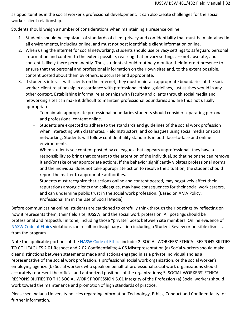as opportunities in the social worker's professional development. It can also create challenges for the social worker-client relationship.

Students should weigh a number of considerations when maintaining a presence online:

- 1. Students should be cognizant of standards of client privacy and confidentiality that must be maintained in all environments, including online, and must not post identifiable client information online.
- 2. When using the internet for social networking, students should use privacy settings to safeguard personal information and content to the extent possible, realizing that privacy settings are not absolute, and content is likely there permanently. Thus, students should routinely monitor their internet presence to ensure that the personal and professional information on their own sites and, to the extent possible, content posted about them by others, is accurate and appropriate.
- 3. If students interact with clients on the internet, they must maintain appropriate boundaries of the social worker-client relationship in accordance with professional ethical guidelines, just as they would in any other context. Establishing informal relationships with faculty and clients through social media and networking sites can make it difficult to maintain professional boundaries and are thus not usually appropriate.
	- To maintain appropriate professional boundaries students should consider separating personal and professional content online.
	- Students are expected to adhere to the standards and guidelines of the social work profession when interacting with classmates, Field Instructors, and colleagues using social media or social networking. Students will follow confidentiality standards in both face-to-face and online environments.
	- When students see content posted by colleagues that appears unprofessional, they have a responsibility to bring that content to the attention of the individual, so that he or she can remove it and/or take other appropriate actions. If the behavior significantly violates professional norms and the individual does not take appropriate action to resolve the situation, the student should report the matter to appropriate authorities.
	- Students must recognize that actions online and content posted, may negatively affect their reputations among clients and colleagues, may have consequences for their social work careers, and can undermine public trust in the social work profession. (Based on AMA Policy: Professionalism in the Use of Social Media).

Before communicating online, students are cautioned to carefully think through their postings by reflecting on how it represents them, their field site, IUSSW, and the social work profession. All postings should be professional and respectful in tone, including those "private" posts between site members. Online evidence of [NASW Code of Ethics](https://www.socialworkers.org/About/Ethics/Code-of-Ethics/Code-of-Ethics-English) violations can result in disciplinary action including a Student Review or possible dismissal from the program.

Note the applicable portions of the [NASW Code of Ethics](https://www.socialworkers.org/About/Ethics/Code-of-Ethics/Code-of-Ethics-English) include: 2. SOCIAL WORKERS' ETHICAL RESPONSIBILITIES TO COLLEAGUES 2.01 Respect and 2.02 Confidentiality; 4.06 Misrepresentation (a) Social workers should make clear distinctions between statements made and actions engaged in as a private individual and as a representative of the social work profession, a professional social work organization, or the social worker's employing agency. (b) Social workers who speak on behalf of professional social work organizations should accurately represent the official and authorized positions of the organizations; 5. SOCIAL WORKERS' ETHICAL RESPONSIBILITIES TO THE SOCIAL WORK PROFESSION 5.01 Integrity of the Profession (a) Social workers should work toward the maintenance and promotion of high standards of practice.

Please see Indiana University policies regarding Information Technology, Ethics, Conduct and Confidentiality for further information.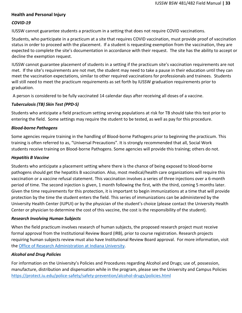## <span id="page-32-0"></span>**Health and Personal Injury**

## <span id="page-32-1"></span>*COVID-19*

IUSSW cannot guarantee students a practicum in a setting that does not require COVID vaccinations.

Students, who participate in a practicum at a site that requires COVID vaccination, must provide proof of vaccination status in order to proceed with the placement. If a student is requesting exemption from the vaccination, they are expected to complete the site's documentation in accordance with their request. The site has the ability to accept or decline the exemption request.

IUSSW cannot guarantee placement of students in a setting if the practicum site's vaccination requirements are not met. If the site's requirements are not met, the student may need to take a pause in their education until they can meet the vaccination expectations, similar to other required vaccinations for professionals and trainees. Students will still need to meet the practicum requirements as set forth by IUSSW graduation requirements prior to graduation.

A person is considered to be fully vaccinated 14 calendar days after receiving all doses of a vaccine.

## *Tuberculosis (TB) Skin Test (PPD-S)*

Students who anticipate a field practicum setting serving populations at risk for TB should take this test prior to entering the field. Some settings may require the student to be tested, as well as pay for this procedure.

## <span id="page-32-2"></span>*Blood-borne Pathogens*

Some agencies require training in the handling of Blood-borne Pathogens prior to beginning the practicum. This training is often referred to as, "Universal Precautions". It is strongly recommended that all, Social Work students receive training on Blood-borne Pathogens. Some agencies will provide this training; others do not.

#### <span id="page-32-3"></span>*Hepatitis B Vaccine*

Students who anticipate a placement setting where there is the chance of being exposed to blood-borne pathogens should get the hepatitis B vaccination. Also, most medical/health care organizations will require this vaccination or a vaccine refusal statement. This vaccination involves a series of three injections over a 6-month period of time. The second injection is given, 1 month following the first, with the third, coming 5 months later. Given the time requirements for this protection, it is important to begin immunizations at a time that will provide protection by the time the student enters the field. This series of immunizations can be administered by the University Health Center (IUPUI) or by the physician of the student's choice (please contact the University Health Center or physician to determine the cost of this vaccine, the cost is the responsibility of the student).

#### <span id="page-32-4"></span>*Research Involving Human Subjects*

When the field practicum involves research of human subjects, the proposed research project must receive formal approval from the Institutional Review Board (IRB), prior to course registration. Research projects requiring human subjects review must also have Institutional Review Board approval. For more information, visit the Office of Research [Administration](https://research.iu.edu/compliance/human-subjects/index.html) at Indiana University.

#### <span id="page-32-5"></span>*Alcohol and Drug Policies*

For information on the University's Policies and Procedures regarding Alcohol and Drugs; use of, possession, manufacture, distribution and dispensation while in the program, please see the University and Campus Policies <https://protect.iu.edu/police-safety/safety-prevention/alcohol-drugs/policies.html>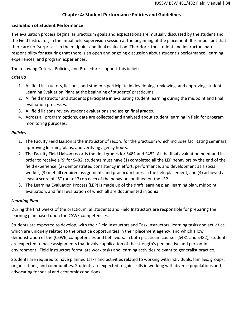## **Chapter 4: Student Performance Policies and Guidelines**

## <span id="page-33-1"></span><span id="page-33-0"></span>**Evaluation of Student Performance**

The evaluation process begins, as practicum goals and expectations are mutually discussed by the student and the Field Instructor, in the initial field supervision session at the beginning of the placement. It is important that there are no "surprises" in the midpoint and final evaluation. Therefore, the student and instructor share responsibility for assuring that there is an open and ongoing discussion about student's performance, learning experiences, and program experiences.

The following Criteria, Policies, and Procedures support this belief:

## <span id="page-33-2"></span>*Criteria*

- 1. All field instructors, liaisons, and students participate in developing, reviewing, and approving students' Learning Evaluation Plans at the beginning of students' practicums.
- 2. All field instructor and students participate in evaluating student learning during the midpoint and final evaluation processes.
- 3. All field liaisons review student evaluations and assign final grades.
- 4. Across all program options, data are collected and analyzed about student learning in field for program monitoring purposes.

## <span id="page-33-3"></span>*Policies*

- 1. The Faculty Field Liaison is the instructor of record for the practicum which includes facilitating seminars, approving learning plans, and verifying agency hours.
- 2. The Faculty Field Liaison records the final grades for S481 and S482. At the final evaluation point and in order to receive a 'S' for S482, students must have (1) completed all the LEP behaviors by the end of the field experience, (2) demonstrated consistency in effort, performance, and development as a social worker, (3) met all required assignments and practicum hours in the field placement, and (4) achieved at least a score of "5" (out of 7) on each of the behaviors outlined on the LEP.
- 3. The Learning Evaluation Process (LEP) is made up of the draft learning plan, learning plan, midpoint evaluation, and final evaluation of which all are documented in Sonia.

## <span id="page-33-4"></span>*Learning Plan*

During the first weeks of the practicum, all students and Field Instructors are responsible for preparing the learning plan based upon the CSWE competencies.

Students are expected to develop, with their Field Instructors and Task Instructors, learning tasks and activities which are uniquely related to the practice opportunities in their placement agency, and which allow demonstration of the (CSWE) competencies and behaviors. In both practicum courses (S481 and S482), students are expected to have assignments that involve application of the strength's perspective and person-inenvironment. Field instructors formulate work tasks and learning activities relevant to generalist practice.

Students are required to have planned tasks and activities related to working with individuals, families, groups, organizations, and communities. Students are expected to gain skills in working with diverse populations and advocating for social and economic conditions.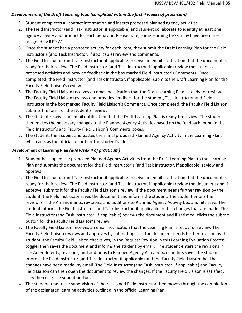## <span id="page-34-0"></span>*Development of the Draft Learning Plan (completed within the first 4 weeks of practicum)*

- 1. Student completes all contact information and inserts proposed planned agency activities.
- 2. The Field Instructor (and Task Instructor, if applicable) and student collaborate to identify at least one agency activity and product for each behavior. Please note, some learning tasks, may have been preassigned by IUSSW.
- 3. Once the student has a proposed activity for each item, they submit the Draft Learning Plan for the Field Instructor's (and Task Instructor, if applicable) review and comments.
- 4. The Field Instructor (and Task Instructor, if applicable) receive an email notification that the document is ready for their review. The Field Instructor (and Task Instructor, if applicable) review the students proposed activities and provide feedback in the box marked Field Instructor's Comments. Once completed, the Field Instructor (and Task Instructor, if applicable) submits the Draft Learning Plan for the Faculty Field Liaison's review.
- 5. The Faculty Field Liaison receives an email notification that the Draft Learning Plan is ready for review. The Faculty Field Liaison reviews and provides feedback for the student, Task Instructor and Field Instructor in the box marked Faculty Field Liaison's Comments. Once completed, the Faculty Field Liaison submits the form for the student's review.
- 6. The student receives an email notification that the Draft Learning Plan is ready for review. The student then makes the necessary changes to the Planned Agency Activities based on the feedback found in the Field Instructor's and Faculty Field Liaison's Comments boxes.
- 7. The student, then copies and pastes their final proposed Planned Agency Activity in the Learning Plan, which acts as the official record for the student's file.

## <span id="page-34-1"></span>**Development of Learning Plan** *(due week 4 of practicum)*

- 1. Student has copied the proposed Planned Agency Activities from the Draft Learning Plan to the Learning Plan and submits the document for the Field Instructor's (and Task Instructor, if applicable) review and approval.
- 2. The Field Instructor (and Task Instructor, if applicable) receive an email notification that the document is ready for their review. The Field Instructor (and Task Instructor, if applicable) review the document and if approve, submits it for the Faculty Field Liaison's review. If the document needs further revision by the student, the Field Instructor saves the document and informs the student. The student enters the revisions in the Amendments, revisions, and additions to Planned Agency Activity box and hits save. The student informs the Field Instructor (and Task Instructor, if applicable) of the changes that are made. The Field Instructor (and Task Instructor, if applicable) reviews the document and if satisfied, clicks the submit button for the Faculty Field Liaison's review.
- 3. The Faculty Field Liaison receives an email notification that the Learning Plan is ready for review. The Faculty Field Liaison reviews and approves by submitting it. If the document needs further revision by the student, the Faculty Field Liaison checks yes, in the Request Revision in this Learning Evaluation Process toggle, then saves the document and informs the student by email. The student enters the revisions in the Amendments, revisions, and additions to Planned Agency Activity box and hits save. The student informs the Field Instructor (and Task Instructor, if applicable) and the Faculty Field Liaison that the changes have been made, by email. The Field Instructor (and Task Instructor, if applicable) and Faculty Field Liaison can then open the document to review the changes. If the Faculty Field Liaison is satisfied, they then click the submit button.
- 4. The student, under the supervision of their assigned Field Instructor then moves through the completion of the designated learning activities outlined in the official Learning Plan.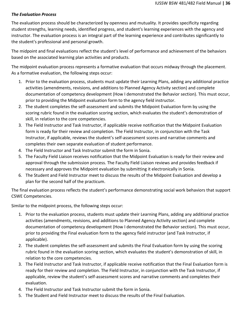## <span id="page-35-0"></span>*The Evaluation Process*

The evaluation process should be characterized by openness and mutuality. It provides specificity regarding student strengths, learning needs, identified progress, and student's learning experiences with the agency and instructor. The evaluation process is an integral part of the learning experience and contributes significantly to the student's professional and personal growth.

The midpoint and final evaluations reflect the student's level of performance and achievement of the behaviors based on the associated learning plan activities and products.

The midpoint evaluation process represents a formative evaluation that occurs midway through the placement. As a formative evaluation, the following steps occur:

- 1. Prior to the evaluation process, students must update their Learning Plans, adding any additional practice activities (amendments, revisions, and additions to Planned Agency Activity section) and complete documentation of competency development (How I demonstrated the Behavior section). This must occur, prior to providing the Midpoint evaluation form to the agency field instructor.
- 2. The student completes the self-assessment and submits the Midpoint Evaluation form by using the scoring rubric found in the evaluation scoring section, which evaluates the student's demonstration of skill, in relation to the core competencies.
- 3. The Field Instructor and Task Instructor, if applicable receive notification that the Midpoint Evaluation form is ready for their review and completion. The Field Instructor, in conjunction with the Task Instructor, if applicable, reviews the student's self-assessment scores and narrative comments and completes their own separate evaluation of student performance.
- 4. The Field Instructor and Task Instructor submit the form in Sonia.
- 5. The Faculty Field Liaison receives notification that the Midpoint Evaluation is ready for their review and approval through the submission process. The Faculty Field Liaison reviews and provides feedback if necessary and approves the Midpoint evaluation by submitting it electronically in Sonia.
- 6. The Student and Field Instructor meet to discuss the results of the Midpoint Evaluation and develop a plan for the second half of the practicum.

The final evaluation process reflects the student's performance demonstrating social work behaviors that support CSWE Competencies.

Similar to the midpoint process, the following steps occur:

- 1. Prior to the evaluation process, students must update their Learning Plans, adding any additional practice activities (amendments, revisions, and additions to Planned Agency Activity section) and complete documentation of competency development (How I demonstrated the Behavior section). This must occur, prior to providing the Final evaluation form to the agency field instructor (and Task Instructor, if applicable).
- 2. The student completes the self-assessment and submits the Final Evaluation form by using the scoring rubric found in the evaluation scoring section, which evaluates the student's demonstration of skill, in relation to the core competencies.
- 3. The Field Instructor and Task Instructor, if applicable receive notification that the Final Evaluation form is ready for their review and completion. The Field Instructor, in conjunction with the Task Instructor, if applicable, review the student's self-assessment scores and narrative comments and completes their evaluation.
- 4. The Field Instructor and Task Instructor submit the form in Sonia.
- 5. The Student and Field Instructor meet to discuss the results of the Final Evaluation.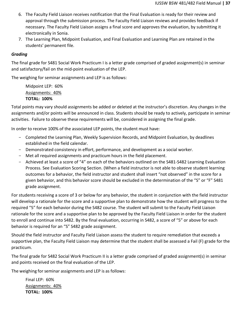- 6. The Faculty Field Liaison receives notification that the Final Evaluation is ready for their review and approval through the submission process. The Faculty Field Liaison reviews and provides feedback if necessary. The Faculty Field Liaison assigns a final score and approves the evaluation, by submitting it electronically in Sonia.
- 7. The Learning Plan, Midpoint Evaluation, and Final Evaluation and Learning Plan are retained in the students' permanent file.

## <span id="page-36-0"></span>*Grading*

The final grade for S481 Social Work Practicum I is a letter grade comprised of graded assignment(s) in seminar and satisfactory/fail on the mid-point evaluation of the LEP.

The weighing for seminar assignments and LEP is as follows:

Midpoint LEP: 60% Assignments: 40% **TOTAL: 100%**

Total points may vary should assignments be added or deleted at the instructor's discretion. Any changes in the assignments and/or points will be announced in class. Students should be ready to actively, participate in seminar activities. Failure to observe these requirements will be, considered in assigning the final grade.

In order to receive 100% of the associated LEP points, the student must have:

- Completed the Learning Plan, Weekly Supervision Records, and Midpoint Evaluation, by deadlines established in the field calendar.
- Demonstrated consistency in effort, performance, and development as a social worker.
- Met all required assignments and practicum hours in the field placement.
- Achieved at least a score of "4" on each of the behaviors outlined on the S481-S482 Learning Evaluation Process. See Evaluation Scoring Section. (When a field instructor is not able to observe student learning outcomes for a behavior, the field instructor and student shall insert "not observed" in the score for a given behavior, and this behavior score should be excluded in the determination of the "S" or "F" S481 grade assignment.

For students receiving a score of 3 or below for any behavior, the student in conjunction with the field instructor will develop a rationale for the score and a supportive plan to demonstrate how the student will progress to the required "5" for each behavior during the S482 course. The student will submit to the Faculty Field Liaison rationale for the score and a supportive plan to be approved by the Faculty Field Liaison in order for the student to enroll and continue into S482. By the final evaluation, occurring in S482, a score of "5" or above for each behavior is required for an "S" S482 grade assignment.

Should the field instructor and Faculty Field Liaison assess the student to require remediation that exceeds a supportive plan, the Faculty Field Liaison may determine that the student shall be assessed a Fail (F) grade for the practicum.

The final grade for S482 Social Work Practicum II is a letter grade comprised of graded assignment(s) in seminar and points received on the final evaluation of the LEP.

The weighing for seminar assignments and LEP is as follows:

Final LEP: 60% Assignments: 40% **TOTAL: 100%**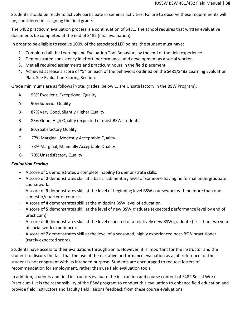Students should be ready to actively participate in seminar activities. Failure to observe these requirements will be, considered in assigning the final grade.

The S482 practicum evaluation process is a continuation of S481. The school requires that written evaluative documents be completed at the end of S482 (final evaluation).

In order to be eligible to receive 100% of the associated LEP points, the student must have:

- 1. Completed all the Learning and Evaluation Tool Behaviors by the end of the field experience.
- 2. Demonstrated consistency in effort, performance, and development as a social worker.
- 3. Met all required assignments and practicum hours in the field placement.
- 4. Achieved at lease a score of "5" on each of the behaviors outlined on the S481/S482 Learning Evaluation Plan. See Evaluation Scoring Section.

Grade minimums are as follows [Note: grades, below C, are Unsatisfactory in the BSW Program]:

- A 93% Excellent, Exceptional Quality
- A- 90%Superior Quality
- B+ 87% Very Good, Slightly Higher Quality
- B 83% Good, High Quality (expected of most BSW students)
- B- 80% Satisfactory Quality
- C+ 77% Marginal, Modestly Acceptable Quality
- C 73% Marginal, Minimally Acceptable Quality
- C- 70%Unsatisfactory Quality

## <span id="page-37-0"></span>*Evaluation Scoring*

- A score of **1** demonstrates a complete inability to demonstrate skills.
- A score of **2** demonstrates skill at a basic rudimentary level of someone having no formal undergraduate coursework.
- A score of **3** demonstrates skill at the level of beginning level BSW coursework with no more than one semester/quarter of courses.
- A score of **4** demonstrates skill at the midpoint BSW level of education.
- A score of **5** demonstrates skill at the level of new BSW graduate (expected performance level by end of practicum).
- A score of **6** demonstrates skill at the level expected of a relatively new BSW graduate (less than two years of social work experience).
- A score of **7** demonstrates skill at the level of a seasoned, highly experienced post-BSW practitioner (rarely expected score).

Students have access to their evaluations through Sonia. However, it is important for the instructor and the student to discuss the fact that the use of the narrative performance evaluation as a job reference for the student is not congruent with its intended purpose. Students are encouraged to request letters of recommendation for employment, rather than use field evaluation tools.

In addition, students and field instructors evaluate the instruction and course content of S482 Social Work Practicum I. It is the responsibility of the BSW program to conduct this evaluation to enhance field education and provide field instructors and faculty field liaisons feedback from these course evaluations.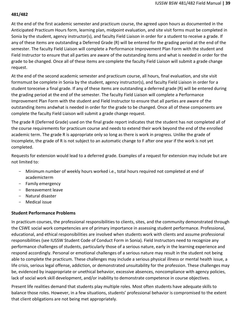## **481/482**

At the end of the first academic semester and practicum course, the agreed upon hours as documented in the Anticipated Practicum Hours form, learning plan, midpoint evaluation, and site visit forms must be completed in Sonia by the student, agency instructor(s), and faculty Field Liaison in order for a student to receive a grade. If any of these items are outstanding a Deferred Grade (R) will be entered for the grading period at the end of the semester. The faculty Field Liaison will complete a Performance Improvement Plan Form with the student and Field Instructor to ensure that all parties are aware of the outstanding items and what is needed in order for the grade to be changed. Once all of these items are complete the faculty Field Liaison will submit a grade change request.

At the end of the second academic semester and practicum course, all hours, final evaluation, and site visit formsmust be complete in Sonia by the student, agency instructor(s), and faculty Field Liaison in order for a student toreceive a final grade. If any of these items are outstanding a deferred grade (R) will be entered during the grading period at the end of the semester. The faculty Field Liaison will complete a Performance Improvement Plan Form with the student and Field Instructor to ensure that all parties are aware of the outstanding items andwhat is needed in order for the grade to be changed. Once all of these components are complete the faculty Field Liaison will submit a grade change request.

The grade R (Deferred Grade) used on the final grade report indicates that the student has not completed all of the course requirements for practicum course and needs to extend their work beyond the end of the enrolled academic term. The grade R is appropriate only so long as there is work in progress. Unlike the grade of Incomplete, the grade of R is not subject to an automatic change to F after one year if the work is not yet completed.

Requests for extension would lead to a deferred grade. Examples of a request for extension may include but are not limited to:

- Minimum number of weekly hours worked i.e., total hours required not completed at end of academicterm
- Family emergency
- Bereavement leave
- Natural disaster
- Medical issue

## <span id="page-38-0"></span>**Student Performance Problems**

In practicum courses, the professional responsibilities to clients, sites, and the community demonstrated through the CSWE social work competencies are of primary importance in assessing student performance. Professional, educational, and ethical responsibilities are involved when students work with clients and assume professional responsibilities (see IUSSW Student Code of Conduct Form in Sonia). Field Instructors need to recognize any performance challenges of students, particularly those of a serious nature, early in the learning experience and respond accordingly. Personal or emotional challenges of a serious nature may result in the student not being able to complete the practicum. These challenges may include a serious physical illness or mental health issue, a life crisis, serious legal offense, addiction, or demonstrated unsuitability for the profession. These challenges may be, evidenced by inappropriate or unethical behavior, excessive absences, noncompliance with agency policies, lack of social work skill development, and/or inability to demonstrate competence in course objectives.

Present life realities demand that students play multiple roles. Most often students have adequate skills to balance those roles. However, in a few situations, students' professional behavior is compromised to the extent that client obligations are not being met appropriately.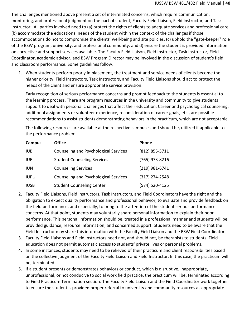The challenges mentioned above present a set of interrelated concerns, which require communication, monitoring, and professional judgment on the part of student, Faculty Field Liaison, Field Instructor, and Task Instructor. All parties involved need to (a) protect the rights of clients to adequate services and professional care, (b) accommodate the educational needs of the student within the context of the challenges if those accommodations do not to compromise the clients' well-being and site policies, (c) uphold the "gate-keeper" role of the BSW program, university, and professional community, and d) ensure the student is provided information on corrective and support services available. The Faculty Field Liaison, Field Instructor, Task Instructor, Field Coordinator, academic advisor, and BSW Program Director may be involved in the discussion of student's field and classroom performance. Some guidelines follow:

1. When students perform poorly in placement, the treatment and service needs of clients become the higher priority. Field Instructors, Task Instructors, and Faculty Field Liaisons should act to protect the needs of the client and ensure appropriate service provision.

Early recognition of serious performance concerns and prompt feedback to the students is essential to the learning process. There are program resources in the university and community to give students support to deal with personal challenges that affect their education. Career and psychological counseling, additional assignments or volunteer experience, reconsideration of career goals, etc., are possible recommendations to assist students demonstrating behaviors in the practicum, which are not acceptable.

The following resources are available at the respective campuses and should be, utilized if applicable to the performance problem.

| Campus       | <b>Office</b>                                | Phone          |
|--------------|----------------------------------------------|----------------|
| <b>IUB</b>   | <b>Counseling and Psychological Services</b> | (812) 855-5711 |
| <b>IUE</b>   | <b>Student Counseling Services</b>           | (765) 973-8216 |
| <b>IUN</b>   | <b>Counseling Services</b>                   | (219) 981-6741 |
| <b>IUPUI</b> | <b>Counseling and Psychological Services</b> | (317) 274-2548 |
| <b>IUSB</b>  | <b>Student Counseling Center</b>             | (574) 520-4125 |

- 2. Faculty Field Liaisons, Field Instructors, Task Instructors, and Field Coordinators have the right and the obligation to expect quality performance and professional behavior, to evaluate and provide feedback on the field performance, and especially, to bring to the attention of the student serious performance concerns. At that point, students may voluntarily share personal information to explain their poor performance. This personal information should be, treated in a professional manner and students will be, provided guidance, resource information, and concerned support. Students need to be aware that the Field Instructor may share this information with the Faculty Field Liaison and the BSW Field Coordinator.
- 3. Faculty Field Liaisons and Field Instructors need not, and should not, be therapists to students. Field education does not permit automatic access to students' private lives or personal problems.
- 4. In some instances, students may need to be relieved of their practicum and client responsibilities based on the collective judgment of the Faculty Field Liaison and Field Instructor. In this case, the practicum will be, terminated.
- 5. If a student presents or demonstrates behaviors or conduct, which is disruptive, inappropriate, unprofessional, or not conducive to social work field practice, the practicum will be, terminated according to Field Practicum Termination section. The Faculty Field Liaison and the Field Coordinator work together to ensure the student is provided proper referral to university and community resources as appropriate.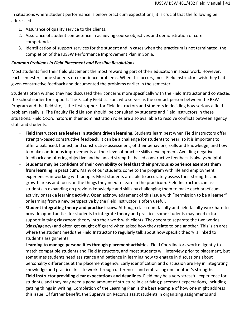In situations where student performance is below practicum expectations, it is crucial that the following be addressed:

- 1. Assurance of quality service to the clients.
- 2. Assurance of student competence in achieving course objectives and demonstration of core competencies.
- 3. Identification of support services for the student and in cases when the practicum is not terminated, the completion of the IUSSW Performance Improvement Plan in Sonia.

## <span id="page-40-0"></span>*Common Problems in Field Placement and Possible Resolutions*

Most students find their field placement the most rewarding part of their education in social work. However, each semester, some students do experience problems. When this occurs, most Field Instructors wish they had given constructive feedback and documented the problems earlier in the semester.

Students often wished they had discussed their concerns more specifically with the Field Instructor and contacted the school earlier for support. The Faculty Field Liaison, who serves as the contact person between the BSW Program and the field site, is the first support for Field Instructors and students in deciding how serious a field problem really is. The Faculty Field Liaison should, be consulted by students and Field Instructors in these situations. Field Coordinators in their administration roles are also available to resolve conflicts between agency staff and students.

- **Field Instructors are leaders in student driven learning.** Students learn best when Field Instructors offer strength-based constructive feedback. It can be a challenge for students to hear, so it is important to offer a balanced, honest, and constructive assessment, of their behaviors, skills and knowledge, and how to make continuous improvements at their level of practice skills development. Avoiding negative feedback and offering objective and balanced strengths-based constructive feedback is always helpful.
- **Students may be confident of their own ability or feel that their previous experience exempts them from learning in practicum.** Many of our students come to the program with life and employment experiences in working with people. Most students are able to accurately assess their strengths and growth areas and focus on the things they need to learn in the practicum. Field Instructors can assist students in expanding on previous knowledge and skills by challenging them to make each practicum activity or task a learning activity. Open acknowledgement of this issue with "permission to be a learner" or learning from a new perspective by the Field Instructor is often useful.
- **Student integrating theory and practice issues.** Although classroom faculty and field faculty work hard to provide opportunities for students to integrate theory and practice, some students may need extra support in tying classroom theory into their work with clients. They seem to separate the two worlds (class/agency) and often get caught off guard when asked how they relate to one another. This is an area where the student needs the Field Instructor to regularly talk about how specific theory is linked to student's assignments.
- **Learning to manage personalities through placement activities.** Field Coordinators work diligently to match compatible students and Field Instructors, and most students will interview prior to placement, but sometimes students need assistance and patience in learning how to engage in discussions about personality differences at the placement agency. Early identification and discussion are key in integrating knowledge and practice skills to work through differences and embracing one another's strengths.
- **Field Instructor providing clear expectations and deadlines.** Field may be a very stressful experience for students, and they may need a good amount of structure in clarifying placement expectations, including getting things in writing. Completion of the Learning Plan is the best example of how one might address this issue. Of further benefit, the Supervision Records assist students in organizing assignments and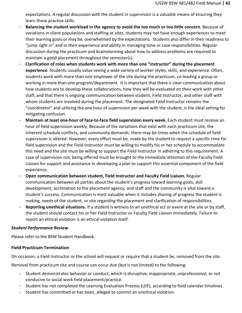expectations. A regular discussion with the student in supervision is a valuable means of ensuring they learn these practice skills.

- **Balancing the student workload in the agency to avoid the too much or too little concern**. Because of variations in client populations and staffing at sites, students may not have enough experiences to meet their learning goals or may be, overwhelmed by the expectations. Students also differ in their readiness to "jump right in" and in their experience and ability in managing time or case responsibilities. Regular discussion during the practicum and brainstorming about how to address problems are required to maintain a good placement throughout the semester(s).
- **Clarification of roles when students work with more than one "instructor" during the placement experience**. Students usually value seeing a wide variety of worker styles, skills, and experience. Often, students work with more than one employee of the site during the practicum, co-leading a group or working in more than one program/department. It is important that there is clear communication about how students are to develop these collaborations, how they will be evaluated on their work with other staff, and that there is ongoing communication between student, Field Instructor, and other staff with whom students are involved during the placement. The designated Field Instructor remains the "coordinator" and utilizing the one hour of supervision per week with the student, is the ideal setting for mitigating confusion.
- Maintain at least one-hour of face-to-face field supervision every week. Each student must receive an hour of field supervision weekly. Because of the variations that exist with each practicum site, the inherent schedule conflicts, and community demands; there may be times when the schedule of field supervision is altered. However, every effort must be, made by the student to request a specific time for field supervision and the Field Instructor must be willing to modify his or her schedule to accommodate this need and the site must be willing to support the Field Instructor in adhering to this requirement. A case of supervision not, being offered must be brought to the immediate attention of the Faculty Field Liaison for support and assistance in developing a plan to support this essential component of the field experience.
- **Open communication between student, Field Instructor and Faculty Field Liaison.** Regular communication between all parties about the student's progress toward learning goals, skill development, acclimation to the placement agency, and staff and the community is vital toward a student's success. Communication is most valuable when it includes sharing of progress the student is making, needs of the student, or site regarding the placement and clarification of responsibilities.
- **Reporting unethical situations.** If a student is witness to an unethical act or event at the site or by staff, the student should contact his or her Field Instructor or Faculty Field Liaison immediately. Failure to report an ethical violation is an ethical violation itself.

## <span id="page-41-0"></span>*Student Performance Review*

Please refer to the BSW Student Handbook.

## <span id="page-41-1"></span>**Field Practicum Termination**

On occasion, a Field Instructor or the school will request or require that a student be, removed from the site.

Removal from practicum site and course can occur due (but is not limited) to the following:

- Student demonstrates behavior or conduct, which is disruptive, inappropriate, unprofessional, or not conducive to social work field placement/practice.
- Student has not completed the Learning Evaluation Process (LEP), according to field calendar timelines.
- Student has committed or has been, alleged to commit an unethical violation.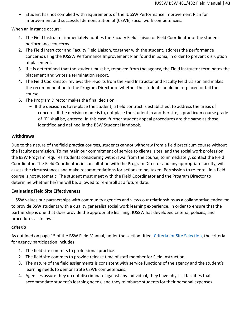- Student has not complied with requirements of the IUSSW Performance Improvement Plan for improvement and successful demonstration of (CSWE) social work competencies.

When an instance occurs:

- 1. The Field Instructor immediately notifies the Faculty Field Liaison or Field Coordinator of the student performance concerns.
- 2. The Field Instructor and Faculty Field Liaison, together with the student, address the performance concerns using the IUSSW Performance Improvement Plan found in Sonia, in order to prevent disruption of placement.
- 3. If it is determined that the student must be, removed from the agency, the Field Instructor terminates the placement and writes a termination report.
- 4. The Field Coordinator reviews the reports from the Field Instructor and Faculty Field Liaison and makes the recommendation to the Program Director of whether the student should be re-placed or fail the course.
- 5. The Program Director makes the final decision.
	- If the decision is to re-place the student, a field contract is established, to address the areas of concern. If the decision made is to, not place the student in another site, a practicum course grade of "F" shall be, entered. In this case, further student appeal procedures are the same as those identified and defined in the BSW Student Handbook.

## <span id="page-42-0"></span>**Withdrawal**

Due to the nature of the field practica courses, students cannot withdraw from a field practicum course without the faculty permission. To maintain our commitment of service to clients, sites, and the social work profession, the BSW Program requires students considering withdrawal from the course, to immediately, contact the Field Coordinator. The Field Coordinator, in consultation with the Program Director and any appropriate faculty, will assess the circumstances and make recommendations for actions to be, taken. Permission to re-enroll in a field course is not automatic. The student must meet with the Field Coordinator and the Program Director to determine whether he/she will be, allowed to re-enroll at a future date.

## <span id="page-42-1"></span>**Evaluating Field Site Effectiveness**

IUSSW values our partnerships with community agencies and views our relationships as a collaborative endeavor to provide BSW students with a quality generalist social work learning experience. In order to ensure that the partnership is one that does provide the appropriate learning, IUSSW has developed criteria, policies, and procedures as follows:

## <span id="page-42-2"></span>*Criteria*

As outlined on page 15 of the BSW Field Manual, under the section titled, [Criteria for Site Selection,](#page-19-1) the criteria for agency participation includes:

- 1. The field site commits to professional practice.
- 2. The field site commits to provide release time of staff member for Field Instruction.
- 3. The nature of the field assignments is consistent with service functions of the agency and the student's learning needs to demonstrate CSWE competencies.
- 4. Agencies assure they do not discriminate against any individual, they have physical facilities that accommodate student's learning needs, and they reimburse students for their personal expenses.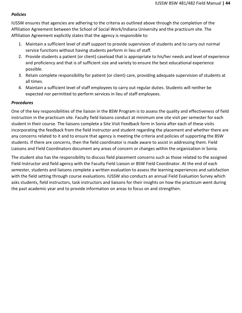## <span id="page-43-0"></span>*Policies*

IUSSW ensures that agencies are adhering to the criteria as outlined above through the completion of the Affiliation Agreement between the School of Social Work/Indiana University and the practicum site. The Affiliation Agreement explicitly states that the agency is responsible to:

- 1. Maintain a sufficient level of staff support to provide supervision of students and to carry out normal service functions without having students perform in lieu of staff.
- 2. Provide students a patient (or client) caseload that is appropriate to his/her needs and level of experience and proficiency and that is of sufficient size and variety to ensure the best educational experience possible.
- 3. Retain complete responsibility for patient (or client) care, providing adequate supervision of students at all times.
- 4. Maintain a sufficient level of staff employees to carry out regular duties. Students will neither be expected nor permitted to perform services in lieu of staff employees.

## <span id="page-43-1"></span>*Procedures*

One of the key responsibilities of the liaison in the BSW Program is to assess the quality and effectiveness of field instruction in the practicum site. Faculty field liaisons conduct at minimum one site visit per semester for each student in their course. The liaisons complete a Site Visit Feedback form in Sonia after each of these visits incorporating the feedback from the field instructor and student regarding the placement and whether there are any concerns related to it and to ensure that agency is meeting the criteria and policies of supporting the BSW students. If there are concerns, then the field coordinator is made aware to assist in addressing them. Field Liaisons and Field Coordinators document any areas of concern or changes within the organization in Sonia.

The student also has the responsibility to discuss field placement concerns such as those related to the assigned Field Instructor and field agency with the Faculty Field Liaison or BSW Field Coordinator. At the end of each semester, students and liaisons complete a written evaluation to assess the learning experiences and satisfaction with the field setting through course evaluations. IUSSW also conducts an annual Field Evaluation Survey which asks students, field instructors, task instructors and liaisons for their insights on how the practicum went during the past academic year and to provide information on areas to focus on and strengthen.